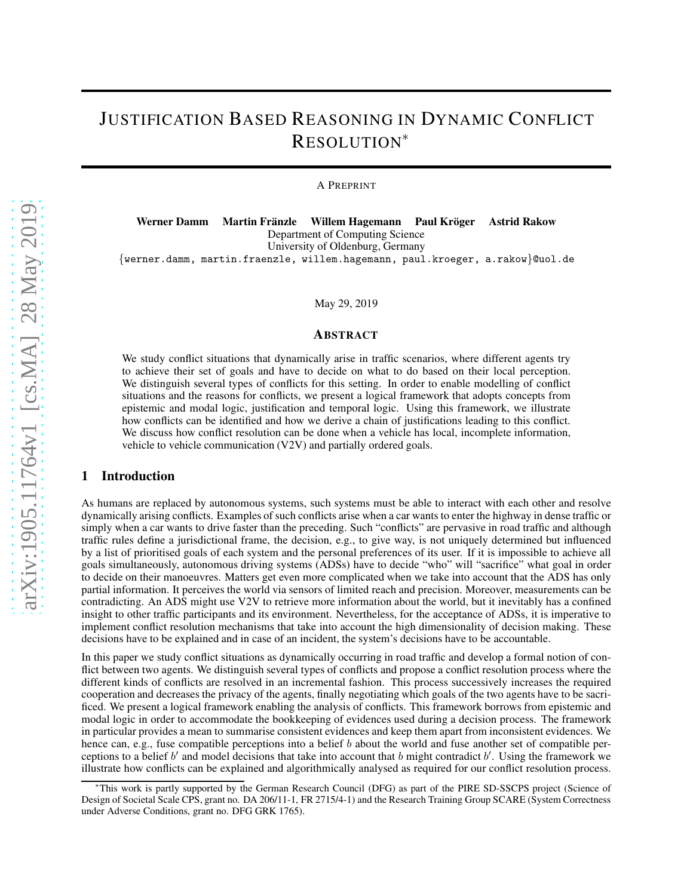# JUSTIFICATION BASED REASONING IN DYNAMIC CONFLICT RESOLUTION<sup>∗</sup>

A PREPRINT

Werner Damm Martin Fränzle Willem Hagemann Paul Kröger Astrid Rakow Department of Computing Science University of Oldenburg, Germany {werner.damm, martin.fraenzle, willem.hagemann, paul.kroeger, a.rakow}@uol.de

May 29, 2019

#### ABSTRACT

We study conflict situations that dynamically arise in traffic scenarios, where different agents try to achieve their set of goals and have to decide on what to do based on their local perception. We distinguish several types of conflicts for this setting. In order to enable modelling of conflict situations and the reasons for conflicts, we present a logical framework that adopts concepts from epistemic and modal logic, justification and temporal logic. Using this framework, we illustrate how conflicts can be identified and how we derive a chain of justifications leading to this conflict. We discuss how conflict resolution can be done when a vehicle has local, incomplete information, vehicle to vehicle communication (V2V) and partially ordered goals.

#### 1 Introduction

As humans are replaced by autonomous systems, such systems must be able to interact with each other and resolve dynamically arising conflicts. Examples of such conflicts arise when a car wants to enter the highway in dense traffic or simply when a car wants to drive faster than the preceding. Such "conflicts" are pervasive in road traffic and although traffic rules define a jurisdictional frame, the decision, e.g., to give way, is not uniquely determined but influenced by a list of prioritised goals of each system and the personal preferences of its user. If it is impossible to achieve all goals simultaneously, autonomous driving systems (ADSs) have to decide "who" will "sacrifice" what goal in order to decide on their manoeuvres. Matters get even more complicated when we take into account that the ADS has only partial information. It perceives the world via sensors of limited reach and precision. Moreover, measurements can be contradicting. An ADS might use V2V to retrieve more information about the world, but it inevitably has a confined insight to other traffic participants and its environment. Nevertheless, for the acceptance of ADSs, it is imperative to implement conflict resolution mechanisms that take into account the high dimensionality of decision making. These decisions have to be explained and in case of an incident, the system's decisions have to be accountable.

In this paper we study conflict situations as dynamically occurring in road traffic and develop a formal notion of conflict between two agents. We distinguish several types of conflicts and propose a conflict resolution process where the different kinds of conflicts are resolved in an incremental fashion. This process successively increases the required cooperation and decreases the privacy of the agents, finally negotiating which goals of the two agents have to be sacrificed. We present a logical framework enabling the analysis of conflicts. This framework borrows from epistemic and modal logic in order to accommodate the bookkeeping of evidences used during a decision process. The framework in particular provides a mean to summarise consistent evidences and keep them apart from inconsistent evidences. We hence can, e.g., fuse compatible perceptions into a belief b about the world and fuse another set of compatible perceptions to a belief  $b'$  and model decisions that take into account that  $b$  might contradict  $b'$ . Using the framework we illustrate how conflicts can be explained and algorithmically analysed as required for our conflict resolution process.

<sup>∗</sup>This work is partly supported by the German Research Council (DFG) as part of the PIRE SD-SSCPS project (Science of Design of Societal Scale CPS, grant no. DA 206/11-1, FR 2715/4-1) and the Research Training Group SCARE (System Correctness under Adverse Conditions, grant no. DFG GRK 1765).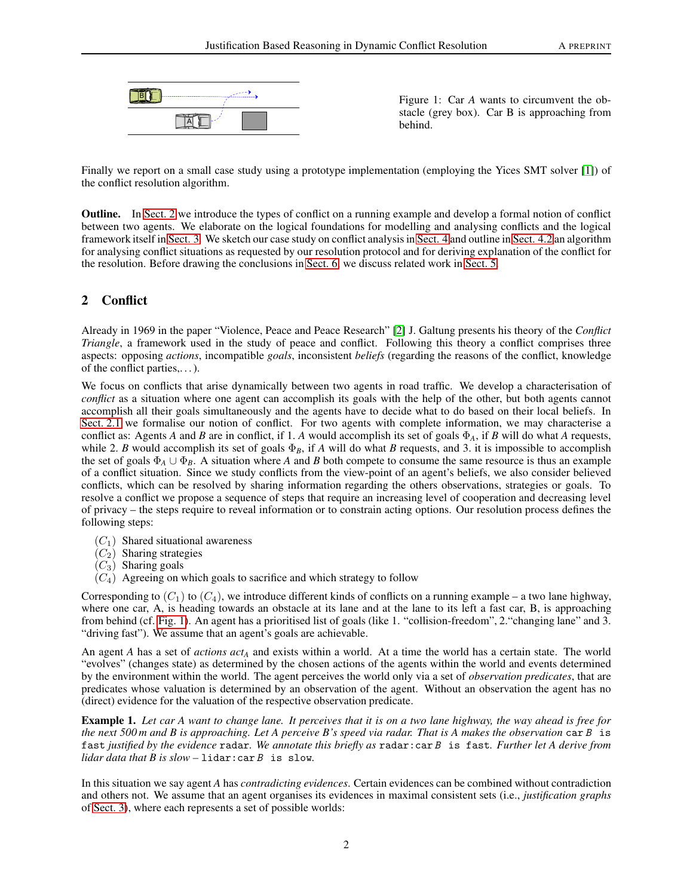

<span id="page-1-1"></span>Figure 1: Car *A* wants to circumvent the obstacle (grey box). Car B is approaching from behind.

Finally we report on a small case study using a prototype implementation (employing the Yices SMT solver [\[1\]](#page-16-0)) of the conflict resolution algorithm.

Outline. In [Sect. 2](#page-1-0) we introduce the types of conflict on a running example and develop a formal notion of conflict between two agents. We elaborate on the logical foundations for modelling and analysing conflicts and the logical framework itself in [Sect. 3.](#page-7-0) We sketch our case study on conflict analysis in [Sect. 4](#page-11-0) and outline in [Sect. 4.2](#page-11-1) an algorithm for analysing conflict situations as requested by our resolution protocol and for deriving explanation of the conflict for the resolution. Before drawing the conclusions in [Sect. 6,](#page-15-0) we discuss related work in [Sect. 5.](#page-14-0)

# <span id="page-1-0"></span>2 Conflict

Already in 1969 in the paper "Violence, Peace and Peace Research" [\[2\]](#page-16-1) J. Galtung presents his theory of the *Conflict Triangle*, a framework used in the study of peace and conflict. Following this theory a conflict comprises three aspects: opposing *actions*, incompatible *goals*, inconsistent *beliefs* (regarding the reasons of the conflict, knowledge of the conflict parties,. . . ).

We focus on conflicts that arise dynamically between two agents in road traffic. We develop a characterisation of *conflict* as a situation where one agent can accomplish its goals with the help of the other, but both agents cannot accomplish all their goals simultaneously and the agents have to decide what to do based on their local beliefs. In [Sect. 2.1](#page-3-0) we formalise our notion of conflict. For two agents with complete information, we may characterise a conflict as: Agents *A* and *B* are in conflict, if 1. *A* would accomplish its set of goals  $\Phi_A$ , if *B* will do what *A* requests, while 2. *B* would accomplish its set of goals  $\Phi_B$ , if *A* will do what *B* requests, and 3. it is impossible to accomplish the set of goals  $\Phi_A \cup \Phi_B$ . A situation where *A* and *B* both compete to consume the same resource is thus an example of a conflict situation. Since we study conflicts from the view-point of an agent's beliefs, we also consider believed conflicts, which can be resolved by sharing information regarding the others observations, strategies or goals. To resolve a conflict we propose a sequence of steps that require an increasing level of cooperation and decreasing level of privacy – the steps require to reveal information or to constrain acting options. Our resolution process defines the following steps:

- $(C_1)$  Shared situational awareness
- $(C_2)$  Sharing strategies
- $(C_3)$  Sharing goals
- $(C_4)$  Agreeing on which goals to sacrifice and which strategy to follow

Corresponding to  $(C_1)$  to  $(C_4)$ , we introduce different kinds of conflicts on a running example – a two lane highway, where one car, A, is heading towards an obstacle at its lane and at the lane to its left a fast car, B, is approaching from behind (cf. [Fig. 1\)](#page-1-1). An agent has a prioritised list of goals (like 1. "collision-freedom", 2."changing lane" and 3. "driving fast"). We assume that an agent's goals are achievable.

An agent *A* has a set of *actions act<sup>A</sup>* and exists within a world. At a time the world has a certain state. The world "evolves" (changes state) as determined by the chosen actions of the agents within the world and events determined by the environment within the world. The agent perceives the world only via a set of *observation predicates*, that are predicates whose valuation is determined by an observation of the agent. Without an observation the agent has no (direct) evidence for the valuation of the respective observation predicate.

<span id="page-1-2"></span>Example 1. *Let car A want to change lane. It perceives that it is on a two lane highway, the way ahead is free for the next 500 m and B is approaching. Let A perceive B's speed via radar. That is A makes the observation* car B is fast *justified by the evidence* radar*. We annotate this briefly as* radar:car B is fast*. Further let A derive from lidar data that B is slow –* lidar:car B is slow*.*

In this situation we say agent *A* has *contradicting evidences*. Certain evidences can be combined without contradiction and others not. We assume that an agent organises its evidences in maximal consistent sets (i.e., *justification graphs* of [Sect. 3\)](#page-7-0), where each represents a set of possible worlds: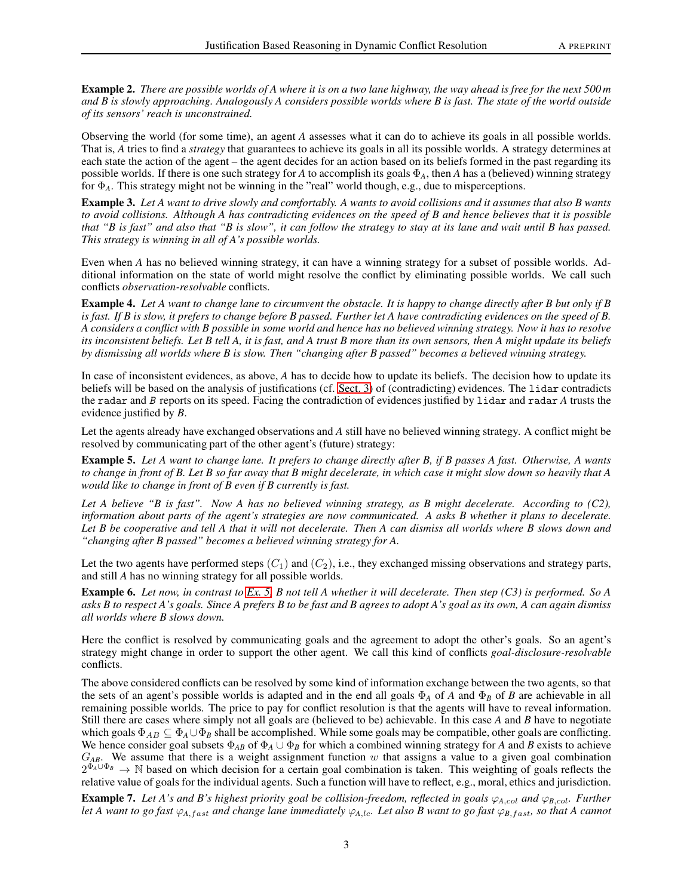Example 2. *There are possible worlds of A where it is on a two lane highway, the way ahead is free for the next 500 m and B is slowly approaching. Analogously A considers possible worlds where B is fast. The state of the world outside of its sensors' reach is unconstrained.*

Observing the world (for some time), an agent *A* assesses what it can do to achieve its goals in all possible worlds. That is, *A* tries to find a *strategy* that guarantees to achieve its goals in all its possible worlds. A strategy determines at each state the action of the agent – the agent decides for an action based on its beliefs formed in the past regarding its possible worlds. If there is one such strategy for *A* to accomplish its goals Φ*A*, then *A* has a (believed) winning strategy for Φ*A*. This strategy might not be winning in the "real" world though, e.g., due to misperceptions.

<span id="page-2-1"></span>Example 3. *Let A want to drive slowly and comfortably. A wants to avoid collisions and it assumes that also B wants to avoid collisions. Although A has contradicting evidences on the speed of B and hence believes that it is possible that "B is fast" and also that "B is slow", it can follow the strategy to stay at its lane and wait until B has passed. This strategy is winning in all of A's possible worlds.*

Even when *A* has no believed winning strategy, it can have a winning strategy for a subset of possible worlds. Additional information on the state of world might resolve the conflict by eliminating possible worlds. We call such conflicts *observation-resolvable* conflicts.

<span id="page-2-2"></span>Example 4. *Let A want to change lane to circumvent the obstacle. It is happy to change directly after B but only if B is fast. If B is slow, it prefers to change before B passed. Further let A have contradicting evidences on the speed of B. A considers a conflict with B possible in some world and hence has no believed winning strategy. Now it has to resolve its inconsistent beliefs. Let B tell A, it is fast, and A trust B more than its own sensors, then A might update its beliefs by dismissing all worlds where B is slow. Then "changing after B passed" becomes a believed winning strategy.*

In case of inconsistent evidences, as above, *A* has to decide how to update its beliefs. The decision how to update its beliefs will be based on the analysis of justifications (cf. [Sect. 3\)](#page-7-0) of (contradicting) evidences. The lidar contradicts the radar and B reports on its speed. Facing the contradiction of evidences justified by lidar and radar *A* trusts the evidence justified by *B*.

Let the agents already have exchanged observations and *A* still have no believed winning strategy. A conflict might be resolved by communicating part of the other agent's (future) strategy:

<span id="page-2-0"></span>Example 5. *Let A want to change lane. It prefers to change directly after B, if B passes A fast. Otherwise, A wants to change in front of B. Let B so far away that B might decelerate, in which case it might slow down so heavily that A would like to change in front of B even if B currently is fast.*

*Let A believe "B is fast". Now A has no believed winning strategy, as B might decelerate. According to (C2), information about parts of the agent's strategies are now communicated. A asks B whether it plans to decelerate. Let B be cooperative and tell A that it will not decelerate. Then A can dismiss all worlds where B slows down and "changing after B passed" becomes a believed winning strategy for A.*

Let the two agents have performed steps  $(C_1)$  and  $(C_2)$ , i.e., they exchanged missing observations and strategy parts, and still *A* has no winning strategy for all possible worlds.

Example 6. *Let now, in contrast to [Ex. 5,](#page-2-0) B not tell A whether it will decelerate. Then step (C3) is performed. So A asks B to respect A's goals. Since A prefers B to be fast and B agrees to adopt A's goal as its own, A can again dismiss all worlds where B slows down.*

Here the conflict is resolved by communicating goals and the agreement to adopt the other's goals. So an agent's strategy might change in order to support the other agent. We call this kind of conflicts *goal-disclosure-resolvable* conflicts.

The above considered conflicts can be resolved by some kind of information exchange between the two agents, so that the sets of an agent's possible worlds is adapted and in the end all goals  $\Phi_A$  of *A* and  $\Phi_B$  of *B* are achievable in all remaining possible worlds. The price to pay for conflict resolution is that the agents will have to reveal information. Still there are cases where simply not all goals are (believed to be) achievable. In this case *A* and *B* have to negotiate which goals  $\Phi_{AB} \subseteq \Phi_A \cup \Phi_B$  shall be accomplished. While some goals may be compatible, other goals are conflicting. We hence consider goal subsets  $\Phi_{AB}$  of  $\Phi_A \cup \Phi_B$  for which a combined winning strategy for *A* and *B* exists to achieve G*AB*. We assume that there is a weight assignment function w that assigns a value to a given goal combination  $2^{\Phi_A \cup \Phi_B} \to \mathbb{N}$  based on which decision for a certain goal combination is taken. This weighting of goals reflects the relative value of goals for the individual agents. Such a function will have to reflect, e.g., moral, ethics and jurisdiction.

**Example 7.** Let A's and B's highest priority goal be collision-freedom, reflected in goals  $\varphi_{A, col}$  and  $\varphi_{B, col}$ . Further *let A want to go fast*  $\varphi_{A,fast}$  *and change lane immediately*  $\varphi_{A,lc}$ *. Let also B want to go fast*  $\varphi_{B,fast}$ *, so that A cannot*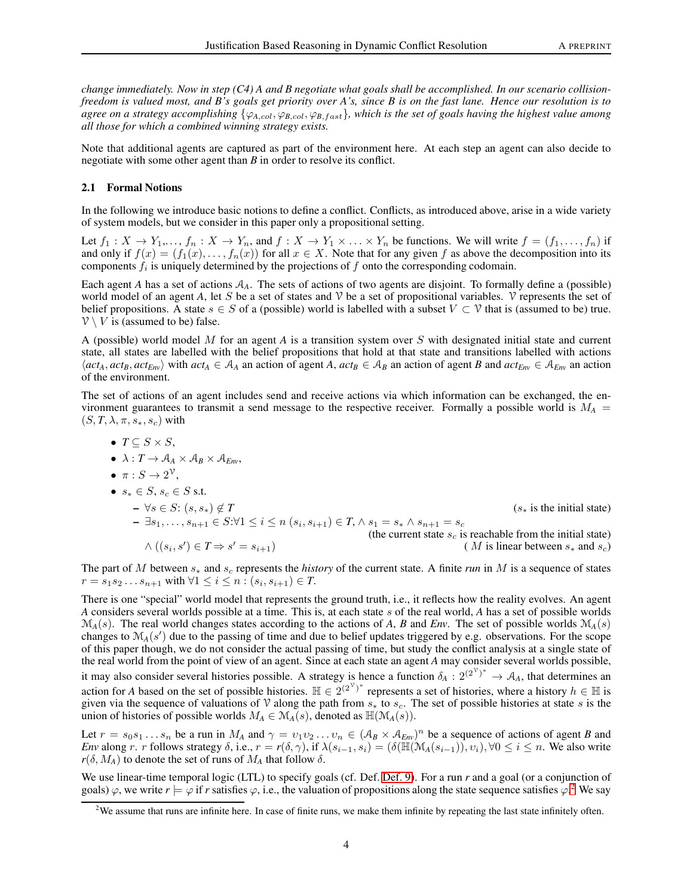*change immediately. Now in step (C4) A and B negotiate what goals shall be accomplished. In our scenario collisionfreedom is valued most, and B's goals get priority over A's, since B is on the fast lane. Hence our resolution is to agree on a strategy accomplishing*  $\{\varphi_{A,col}, \varphi_{B,col}, \varphi_{B,fast}\}$ *, which is the set of goals having the highest value among all those for which a combined winning strategy exists.*

Note that additional agents are captured as part of the environment here. At each step an agent can also decide to negotiate with some other agent than *B* in order to resolve its conflict.

#### <span id="page-3-0"></span>2.1 Formal Notions

In the following we introduce basic notions to define a conflict. Conflicts, as introduced above, arise in a wide variety of system models, but we consider in this paper only a propositional setting.

Let  $f_1: X \to Y_1, \ldots, f_n: X \to Y_n$ , and  $f: X \to Y_1 \times \ldots \times Y_n$  be functions. We will write  $f = (f_1, \ldots, f_n)$  if and only if  $f(x) = (f_1(x), \ldots, f_n(x))$  for all  $x \in X$ . Note that for any given f as above the decomposition into its components  $f_i$  is uniquely determined by the projections of  $f$  onto the corresponding codomain.

Each agent *A* has a set of actions  $A_A$ . The sets of actions of two agents are disjoint. To formally define a (possible) world model of an agent A, let S be a set of states and  $\mathcal V$  be a set of propositional variables.  $\mathcal V$  represents the set of belief propositions. A state  $s \in S$  of a (possible) world is labelled with a subset  $V \subset V$  that is (assumed to be) true.  $V \setminus V$  is (assumed to be) false.

A (possible) world model M for an agent *A* is a transition system over S with designated initial state and current state, all states are labelled with the belief propositions that hold at that state and transitions labelled with actions  $\langle act_A, act_B, act_{Env} \rangle$  with  $act_A \in A_A$  an action of agent A,  $act_B \in A_B$  an action of agent B and  $act_{Env} \in A_{Env}$  an action of the environment.

The set of actions of an agent includes send and receive actions via which information can be exchanged, the environment guarantees to transmit a send message to the respective receiver. Formally a possible world is  $M_A$  =  $(S, T, \lambda, \pi, s_*, s_c)$  with

\n- \n
$$
T \subseteq S \times S
$$
,\n
	\n- \n $\lambda: T \to A_A \times A_B \times A_{Em}$ ,\n
	\n- \n $\pi: S \to 2^{\mathcal{V}}$ ,\n
	\n- \n $s_* \in S$ ,  $s_c \in S$  s.t.\n
	\n- \n $-\forall s \in S$ :  $(s, s_*) \notin T$ \n
	\n- \n $-\exists s_1, \ldots, s_{n+1} \in S: \forall 1 \leq i \leq n \ (s_i, s_{i+1}) \in T$ ,  $\land s_1 = s_* \land s_{n+1} = s_c$ \n
	\n- \n $\land \ ((s_i, s') \in T \Rightarrow s' = s_{i+1})$ \n
	\n- \n $(M \text{ is linear between } s_* \text{ and } s_c)$ \n
	\n\n
\n

The part of M between s<sub>∗</sub> and s<sub>c</sub> represents the *history* of the current state. A finite *run* in M is a sequence of states  $r = s_1 s_2 ... s_{n+1}$  with ∀1 ≤  $i$  ≤  $n : (s_i, s_{i+1}) \in T$ .

There is one "special" world model that represents the ground truth, i.e., it reflects how the reality evolves. An agent *A* considers several worlds possible at a time. This is, at each state s of the real world, *A* has a set of possible worlds  $\mathcal{M}_A(s)$ . The real world changes states according to the actions of *A*, *B* and *Env*. The set of possible worlds  $\mathcal{M}_A(s)$ changes to  $M_A(s')$  due to the passing of time and due to belief updates triggered by e.g. observations. For the scope of this paper though, we do not consider the actual passing of time, but study the conflict analysis at a single state of the real world from the point of view of an agent. Since at each state an agent *A* may consider several worlds possible, it may also consider several histories possible. A strategy is hence a function  $\delta_A : 2^{(2^{\nu})^*} \to A_A$ , that determines an action for *A* based on the set of possible histories.  $\mathbb{H} \in 2^{(2^{\nu})^*}$  represents a set of histories, where a history  $h \in \mathbb{H}$  is given via the sequence of valuations of V along the path from  $s_*$  to  $s_c$ . The set of possible histories at state s is the union of histories of possible worlds  $M_A \in \mathcal{M}_A(s)$ , denoted as  $\mathbb{H}(\mathcal{M}_A(s))$ .

Let  $r = s_0 s_1 ... s_n$  be a run in  $M_A$  and  $\gamma = v_1 v_2 ... v_n \in (A_B \times A_{E_W})^n$  be a sequence of actions of agent *B* and *Env* along r. r follows strategy  $\delta$ , i.e.,  $r = r(\delta, \gamma)$ , if  $\lambda(s_{i-1}, s_i) = (\delta(\mathbb{H}(\mathcal{M}_A(s_{i-1})), v_i), \forall 0 \le i \le n$ . We also write  $r(\delta, M_A)$  to denote the set of runs of  $M_A$  that follow  $\delta$ .

We use linear-time temporal logic (LTL) to specify goals (cf. Def. [Def. 9\)](#page-10-0). For a run *r* and a goal (or a conjunction of goals)  $\varphi$ , we write  $r \models \varphi$  if *r* satisfies  $\varphi$ , i.e., the valuation of propositions along the state sequence satisfies  $\varphi$ .<sup>[2](#page-3-1)</sup> We say

<span id="page-3-1"></span> $2$ We assume that runs are infinite here. In case of finite runs, we make them infinite by repeating the last state infinitely often.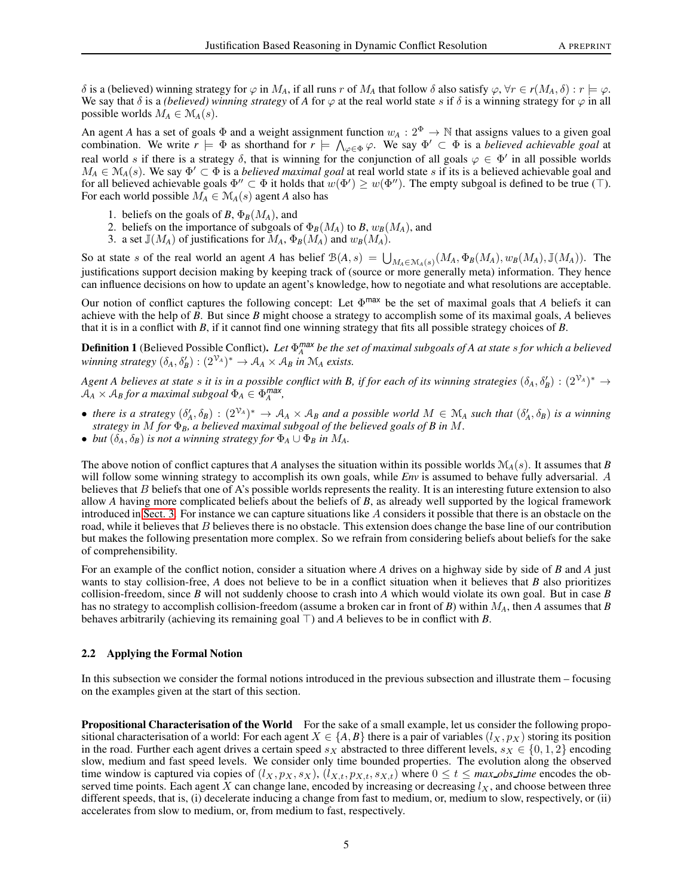$\delta$  is a (believed) winning strategy for  $\varphi$  in M<sub>A</sub>, if all runs r of M<sub>A</sub> that follow δ also satisfy  $\varphi$ , ∀r ∈ r(M<sub>A</sub>, δ) : r  $\models \varphi$ . We say that  $\delta$  is a *(believed) winning strategy* of *A* for  $\varphi$  at the real world state s if  $\delta$  is a winning strategy for  $\varphi$  in all possible worlds  $M_A \in \mathcal{M}_A(s)$ .

An agent *A* has a set of goals  $\Phi$  and a weight assignment function  $w_A: 2^{\Phi} \to \mathbb{N}$  that assigns values to a given goal combination. We write  $r \models \Phi$  as shorthand for  $r \models \bigwedge_{\varphi \in \Phi} \varphi$ . We say  $\Phi' \subset \Phi$  is a *believed achievable goal* at real world s if there is a strategy  $\delta$ , that is winning for the conjunction of all goals  $\varphi \in \Phi'$  in all possible worlds  $M_A \in \mathcal{M}_A(s)$ . We say  $\Phi' \subset \Phi$  is a *believed maximal goal* at real world state s if its is a believed achievable goal and for all believed achievable goals  $\Phi'' \subset \Phi$  it holds that  $w(\Phi') \geq w(\Phi'')$ . The empty subgoal is defined to be true (⊤). For each world possible  $M_A \in M_A(s)$  agent *A* also has

- 1. beliefs on the goals of *B*,  $\Phi_B(M_A)$ , and
- 2. beliefs on the importance of subgoals of  $\Phi_B(M_A)$  to *B*,  $w_B(M_A)$ , and
- 3. a set  $\mathbb{J}(M_A)$  of justifications for  $M_A$ ,  $\Phi_B(M_A)$  and  $w_B(M_A)$ .

So at state s of the real world an agent *A* has belief  $\mathcal{B}(A,s) = \bigcup_{M_A \in \mathcal{M}(A,s)} (M_A, \Phi_B(M_A), w_B(M_A), \mathbb{J}(M_A))$ . The justifications support decision making by keeping track of (source or more generally meta) information. They hence can influence decisions on how to update an agent's knowledge, how to negotiate and what resolutions are acceptable.

Our notion of conflict captures the following concept: Let Φ max be the set of maximal goals that *A* beliefs it can achieve with the help of *B*. But since *B* might choose a strategy to accomplish some of its maximal goals, *A* believes that it is in a conflict with *B*, if it cannot find one winning strategy that fits all possible strategy choices of *B*.

<span id="page-4-0"></span>**Definition 1** (Believed Possible Conflict). Let  $\Phi_A^{max}$  be the set of maximal subgoals of A at state  $s$  for which a believed  $$ 

*Agent A believes at state s it is in a possible conflict with B, if for each of its winning strategies*  $(\delta_A, \delta_B') : (2^{\mathcal{V}_A})^* \to$  $\mathcal{A}_A \times \mathcal{A}_B$  for a maximal subgoal  $\Phi_A \in \Phi_A^{max}$ ,

- *there is a strategy*  $(\delta'_A, \delta_B) : (2^{\mathcal{V}_A})^* \to \mathcal{A}_A \times \mathcal{A}_B$  and a possible world  $M \in \mathcal{M}_A$  such that  $(\delta'_A, \delta_B)$  is a winning *strategy in* M *for* Φ*B, a believed maximal subgoal of the believed goals of B in* M*.*
- *but*  $(\delta_A, \delta_B)$  *is not a winning strategy for*  $\Phi_A \cup \Phi_B$  *in*  $M_A$ *.*

The above notion of conflict captures that *A* analyses the situation within its possible worlds  $\mathcal{M}_A(s)$ . It assumes that *B* will follow some winning strategy to accomplish its own goals, while *Env* is assumed to behave fully adversarial. A believes that B beliefs that one of A's possible worlds represents the reality. It is an interesting future extension to also allow *A* having more complicated beliefs about the beliefs of *B*, as already well supported by the logical framework introduced in [Sect. 3.](#page-7-0) For instance we can capture situations like A considers it possible that there is an obstacle on the road, while it believes that  $B$  believes there is no obstacle. This extension does change the base line of our contribution but makes the following presentation more complex. So we refrain from considering beliefs about beliefs for the sake of comprehensibility.

For an example of the conflict notion, consider a situation where *A* drives on a highway side by side of *B* and *A* just wants to stay collision-free, *A* does not believe to be in a conflict situation when it believes that *B* also prioritizes collision-freedom, since *B* will not suddenly choose to crash into *A* which would violate its own goal. But in case *B* has no strategy to accomplish collision-freedom (assume a broken car in front of *B*) within M*A*, then *A* assumes that *B* behaves arbitrarily (achieving its remaining goal  $\top$ ) and *A* believes to be in conflict with *B*.

## 2.2 Applying the Formal Notion

In this subsection we consider the formal notions introduced in the previous subsection and illustrate them – focusing on the examples given at the start of this section.

**Propositional Characterisation of the World** For the sake of a small example, let us consider the following propositional characterisation of a world: For each agent  $X \in \{A, B\}$  there is a pair of variables  $(l_X, p_X)$  storing its position in the road. Further each agent drives a certain speed  $s<sub>X</sub>$  abstracted to three different levels,  $s<sub>X</sub> \in \{0, 1, 2\}$  encoding slow, medium and fast speed levels. We consider only time bounded properties. The evolution along the observed time window is captured via copies of  $(l_X, p_X, s_X)$ ,  $(l_{X,t}, p_{X,t}, s_{X,t})$  where  $0 \le t \le max\_obs\_time$  encodes the observed time points. Each agent X can change lane, encoded by increasing or decreasing  $l_X$ , and choose between three different speeds, that is, (i) decelerate inducing a change from fast to medium, or, medium to slow, respectively, or (ii) accelerates from slow to medium, or, from medium to fast, respectively.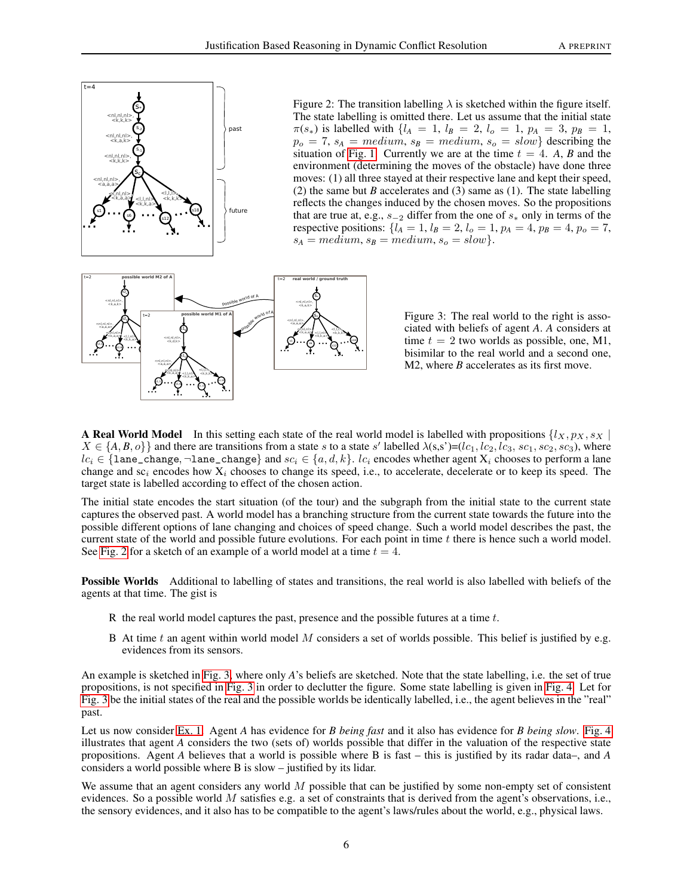

<span id="page-5-0"></span>Figure 2: The transition labelling  $\lambda$  is sketched within the figure itself. The state labelling is omitted there. Let us assume that the initial state  $\pi(s_*)$  is labelled with  $\{l_A = 1, l_B = 2, l_o = 1, p_A = 3, p_B = 1,$  $p_o = 7$ ,  $s_A = medium$ ,  $s_B = medium$ ,  $s_o = slow$ } describing the situation of [Fig. 1.](#page-1-1) Currently we are at the time  $t = 4$ . A, B and the environment (determining the moves of the obstacle) have done three moves: (1) all three stayed at their respective lane and kept their speed, (2) the same but *B* accelerates and (3) same as (1). The state labelling reflects the changes induced by the chosen moves. So the propositions that are true at, e.g.,  $s_{-2}$  differ from the one of  $s_*$  only in terms of the respective positions:  $\{l_A = 1, l_B = 2, l_o = 1, p_A = 4, p_B = 4, p_o = 7,$  $s_A = medium, s_B = medium, s_o = slow$ .



<span id="page-5-1"></span>Figure 3: The real world to the right is associated with beliefs of agent *A*. *A* considers at time  $t = 2$  two worlds as possible, one, M1, bisimilar to the real world and a second one, M2, where *B* accelerates as its first move.

A Real World Model In this setting each state of the real world model is labelled with propositions  $\{l_X, p_X, s_X \}$  $X \in \{A, B, o\}$  and there are transitions from a state s to a state s' labelled  $\lambda(s, s') = (lc_1, lc_2, lc_3, sc_1, sc_2, sc_3)$ , where  $lc_i \in \{$ lane\_change, ¬lane\_change} and  $sc_i \in \{a, d, k\}$ .  $lc_i$  encodes whether agent  $X_i$  chooses to perform a lane change and  $sc_i$  encodes how  $X_i$  chooses to change its speed, i.e., to accelerate, decelerate or to keep its speed. The target state is labelled according to effect of the chosen action.

The initial state encodes the start situation (of the tour) and the subgraph from the initial state to the current state captures the observed past. A world model has a branching structure from the current state towards the future into the possible different options of lane changing and choices of speed change. Such a world model describes the past, the current state of the world and possible future evolutions. For each point in time  $t$  there is hence such a world model. See [Fig. 2](#page-5-0) for a sketch of an example of a world model at a time  $t = 4$ .

Possible Worlds Additional to labelling of states and transitions, the real world is also labelled with beliefs of the agents at that time. The gist is

- R the real world model captures the past, presence and the possible futures at a time  $t$ .
- B At time t an agent within world model M considers a set of worlds possible. This belief is justified by e.g. evidences from its sensors.

An example is sketched in [Fig. 3,](#page-5-1) where only *A*'s beliefs are sketched. Note that the state labelling, i.e. the set of true propositions, is not specified in [Fig. 3](#page-5-1) in order to declutter the figure. Some state labelling is given in [Fig. 4.](#page-6-0) Let for [Fig. 3](#page-5-1) be the initial states of the real and the possible worlds be identically labelled, i.e., the agent believes in the "real" past.

Let us now consider [Ex. 1.](#page-1-2) Agent *A* has evidence for *B being fast* and it also has evidence for *B being slow*. [Fig. 4](#page-6-0) illustrates that agent *A* considers the two (sets of) worlds possible that differ in the valuation of the respective state propositions. Agent *A* believes that a world is possible where B is fast – this is justified by its radar data–, and *A* considers a world possible where B is slow – justified by its lidar.

We assume that an agent considers any world  $M$  possible that can be justified by some non-empty set of consistent evidences. So a possible world M satisfies e.g. a set of constraints that is derived from the agent's observations, i.e., the sensory evidences, and it also has to be compatible to the agent's laws/rules about the world, e.g., physical laws.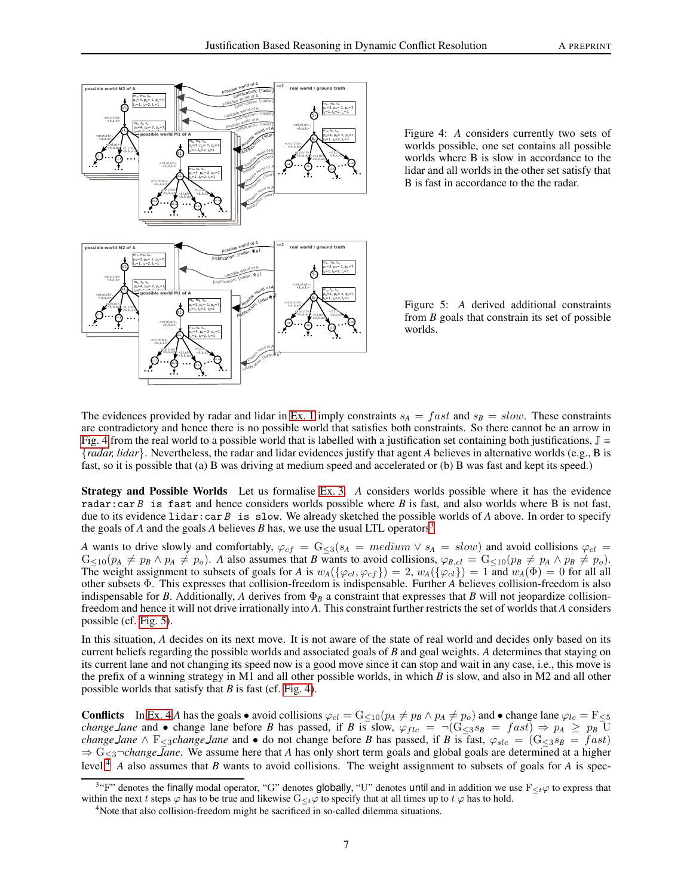

<span id="page-6-0"></span>Figure 4: *A* considers currently two sets of worlds possible, one set contains all possible worlds where B is slow in accordance to the lidar and all worlds in the other set satisfy that B is fast in accordance to the the radar.

<span id="page-6-2"></span>Figure 5: *A* derived additional constraints from *B* goals that constrain its set of possible worlds.

The evidences provided by radar and lidar in [Ex. 1](#page-1-2) imply constraints  $s_A = fast$  and  $s_B = slow$ . These constraints are contradictory and hence there is no possible world that satisfies both constraints. So there cannot be an arrow in [Fig. 4](#page-6-0) from the real world to a possible world that is labelled with a justification set containing both justifications,  $\mathbb{J} =$ {*radar, lidar*}. Nevertheless, the radar and lidar evidences justify that agent *A* believes in alternative worlds (e.g., B is fast, so it is possible that (a) B was driving at medium speed and accelerated or (b) B was fast and kept its speed.)

Strategy and Possible Worlds Let us formalise [Ex. 3.](#page-2-1) *A* considers worlds possible where it has the evidence radar:car B is fast and hence considers worlds possible where B is fast, and also worlds where B is not fast, due to its evidence lidar:car B is slow. We already sketched the possible worlds of A above. In order to specify the goals of *A* and the goals *A* believes *B* has, we use the usual LTL operators<sup>[3](#page-6-1)</sup>

*A* wants to drive slowly and comfortably,  $\varphi_{cf} = G_{\leq 3}(s_A = medium \vee s_A = slow)$  and avoid collisions  $\varphi_{c1} =$  $G_{\leq 10}(p_A \neq p_B \land p_A \neq p_o)$ . *A* also assumes that *B* wants to avoid collisions,  $\varphi_{B,cl} = G_{\leq 10}(p_B \neq p_A \land p_B \neq p_o)$ . The weight assignment to subsets of goals for *A* is  $w_A(\{\varphi_{cl}, \varphi_{cf}\}) = 2$ ,  $w_A(\{\varphi_{cl}\}) = 1$  and  $w_A(\Phi) = 0$  for all all other subsets Φ. This expresses that collision-freedom is indispensable. Further *A* believes collision-freedom is also indispensable for *B*. Additionally, *A* derives from  $\Phi_B$  a constraint that expresses that *B* will not jeopardize collisionfreedom and hence it will not drive irrationally into *A*. This constraint further restricts the set of worlds that *A* considers possible (cf. [Fig. 5\)](#page-6-2).

In this situation, A decides on its next move. It is not aware of the state of real world and decides only based on its current beliefs regarding the possible worlds and associated goals of *B* and goal weights. *A* determines that staying on its current lane and not changing its speed now is a good move since it can stop and wait in any case, i.e., this move is the prefix of a winning strategy in M1 and all other possible worlds, in which *B* is slow, and also in M2 and all other possible worlds that satisfy that *B* is fast (cf. [Fig. 4\)](#page-6-0).

**Conflicts** In [Ex. 4](#page-2-2) *A* has the goals • avoid collisions  $\varphi_{cl} = G_{\leq 10}(p_A \neq p_B \land p_A \neq p_o)$  and • change lane  $\varphi_{lc} = F_{\leq 5}$ *change lane* and • change lane before *B* has passed, if *B* is slow,  $\varphi_{flc} = \neg(G_{\leq 3} s_B = fast) \Rightarrow p_A \geq p_B U$ *change lane*  $\wedge$  F<sub>≤3</sub>*change lane* and • do not change before *B* has passed, if *B* is fast,  $\varphi_{slc}$  = (G<sub>≤3</sub>*s<sub>B</sub>* = fast) ⇒ G<sup>≤</sup>3¬*change lane*. We assume here that *A* has only short term goals and global goals are determined at a higher level.<sup> $\overline{4}$  $\overline{4}$  $\overline{4}$ </sup> *A* also assumes that *B* wants to avoid collisions. The weight assignment to subsets of goals for *A* is spec-

<sup>&</sup>lt;sup>3</sup>"F" denotes the finally modal operator, "G" denotes globally, "U" denotes until and in addition we use  $F_{\leq t}\varphi$  to express that within the next t steps  $\varphi$  has to be true and likewise G $\lt_{\epsilon}\varphi$  to specify that at all times up to t  $\varphi$  has to hold.

<span id="page-6-3"></span><span id="page-6-1"></span><sup>&</sup>lt;sup>4</sup>Note that also collision-freedom might be sacrificed in so-called dilemma situations.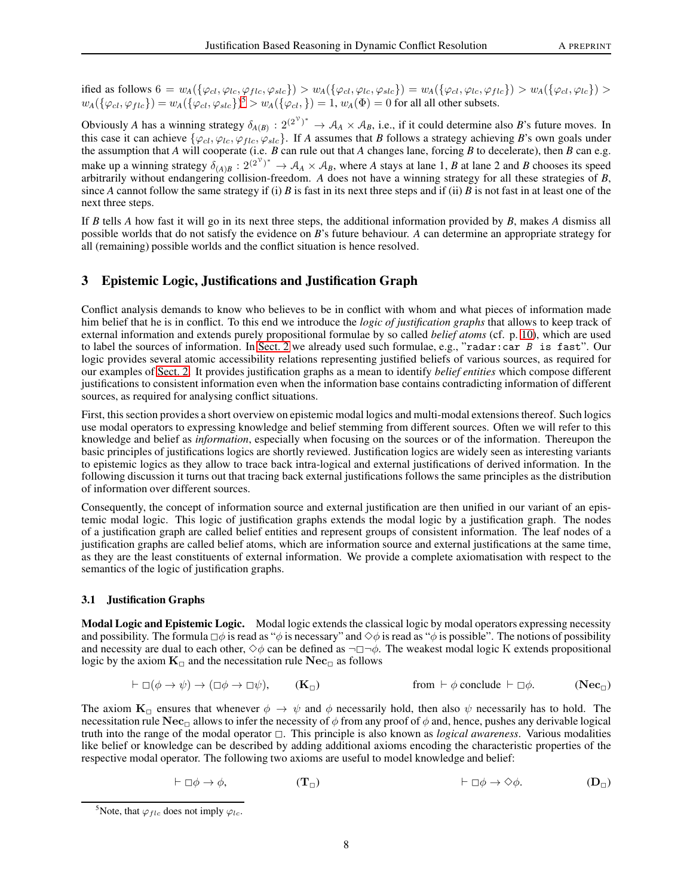ified as follows  $6 = w_A(\{\varphi_{cl}, \varphi_{lc}, \varphi_{flc}, \varphi_{slc}\}) > w_A(\{\varphi_{cl}, \varphi_{lc}, \varphi_{slc}\}) = w_A(\{\varphi_{cl}, \varphi_{lc}, \varphi_{flc}\}) > w_A(\{\varphi_{cl}, \varphi_{lc}, \varphi_{slc}\})$  $w_A(\{\varphi_{cl}, \varphi_{flc}\}) = w_A(\{\varphi_{cl}, \varphi_{slc}\})^5 > w_A(\{\varphi_{cl},\}) = 1, w_A(\Phi) = 0$  $w_A(\{\varphi_{cl}, \varphi_{flc}\}) = w_A(\{\varphi_{cl}, \varphi_{slc}\})^5 > w_A(\{\varphi_{cl},\}) = 1, w_A(\Phi) = 0$  $w_A(\{\varphi_{cl}, \varphi_{flc}\}) = w_A(\{\varphi_{cl}, \varphi_{slc}\})^5 > w_A(\{\varphi_{cl},\}) = 1, w_A(\Phi) = 0$  for all all other subsets.

Obviously *A* has a winning strategy  $\delta_{A(B)}: 2^{(2^{\gamma})^*} \to A_A \times A_B$ , i.e., if it could determine also *B*'s future moves. In this case it can achieve  $\{\varphi_{cl}, \varphi_{lc}, \varphi_{flc}, \varphi_{slc}\}\$ . If *A* assumes that *B* follows a strategy achieving *B*'s own goals under the assumption that *A* will cooperate (i.e. *B* can rule out that *A* changes lane, forcing *B* to decelerate), then *B* can e.g. make up a winning strategy  $\delta_{(A)B}$ :  $2^{(2^{\nu})^*} \to A_A \times A_B$ , where *A* stays at lane 1, *B* at lane 2 and *B* chooses its speed arbitrarily without endangering collision-freedom. *A* does not have a winning strategy for all these strategies of *B*, since *A* cannot follow the same strategy if (i) *B* is fast in its next three steps and if (ii) *B* is not fast in at least one of the next three steps.

If *B* tells *A* how fast it will go in its next three steps, the additional information provided by *B*, makes *A* dismiss all possible worlds that do not satisfy the evidence on *B*'s future behaviour. *A* can determine an appropriate strategy for all (remaining) possible worlds and the conflict situation is hence resolved.

# <span id="page-7-0"></span>3 Epistemic Logic, Justifications and Justification Graph

Conflict analysis demands to know who believes to be in conflict with whom and what pieces of information made him belief that he is in conflict. To this end we introduce the *logic of justification graphs* that allows to keep track of external information and extends purely propositional formulae by so called *belief atoms* (cf. p. [10\)](#page-9-0), which are used to label the sources of information. In [Sect. 2](#page-1-0) we already used such formulae, e.g., "radar:car  $B$  is fast". Our logic provides several atomic accessibility relations representing justified beliefs of various sources, as required for our examples of [Sect. 2.](#page-1-0) It provides justification graphs as a mean to identify *belief entities* which compose different justifications to consistent information even when the information base contains contradicting information of different sources, as required for analysing conflict situations.

First, this section provides a short overview on epistemic modal logics and multi-modal extensions thereof. Such logics use modal operators to expressing knowledge and belief stemming from different sources. Often we will refer to this knowledge and belief as *information*, especially when focusing on the sources or of the information. Thereupon the basic principles of justifications logics are shortly reviewed. Justification logics are widely seen as interesting variants to epistemic logics as they allow to trace back intra-logical and external justifications of derived information. In the following discussion it turns out that tracing back external justifications follows the same principles as the distribution of information over different sources.

Consequently, the concept of information source and external justification are then unified in our variant of an epistemic modal logic. This logic of justification graphs extends the modal logic by a justification graph. The nodes of a justification graph are called belief entities and represent groups of consistent information. The leaf nodes of a justification graphs are called belief atoms, which are information source and external justifications at the same time, as they are the least constituents of external information. We provide a complete axiomatisation with respect to the semantics of the logic of justification graphs.

## 3.1 Justification Graphs

Modal Logic and Epistemic Logic. Modal logic extends the classical logic by modal operators expressing necessity and possibility. The formula  $\Box\phi$  is read as " $\phi$  is necessary" and  $\diamond\phi$  is read as " $\phi$  is possible". The notions of possibility and necessity are dual to each other,  $\diamond \phi$  can be defined as  $\neg \Box \neg \phi$ . The weakest modal logic K extends propositional logic by the axiom  $K_{\Box}$  and the necessitation rule  $Nec_{\Box}$  as follows

$$
\vdash \Box(\phi \to \psi) \to (\Box \phi \to \Box \psi), \qquad (\mathbf{K}_{\Box}) \qquad \text{from } \vdash \phi \text{ conclude } \vdash \Box \phi. \qquad (\mathbf{Nec}_{\Box})
$$

The axiom  $K_{\Box}$  ensures that whenever  $\phi \to \psi$  and  $\phi$  necessarily hold, then also  $\psi$  necessarily has to hold. The necessitation rule Nec<sub>1</sub> allows to infer the necessity of  $\phi$  from any proof of  $\phi$  and, hence, pushes any derivable logical truth into the range of the modal operator  $\Box$ . This principle is also known as *logical awareness*. Various modalities like belief or knowledge can be described by adding additional axioms encoding the characteristic properties of the respective modal operator. The following two axioms are useful to model knowledge and belief:

$$
\vdash \Box \phi \to \phi, \qquad (\mathbf{T}_{\Box}) \qquad \qquad \vdash \Box \phi \to \Diamond \phi. \qquad (\mathbf{D}_{\Box})
$$

<span id="page-7-1"></span><sup>&</sup>lt;sup>5</sup>Note, that  $\varphi_{flc}$  does not imply  $\varphi_{lc}$ .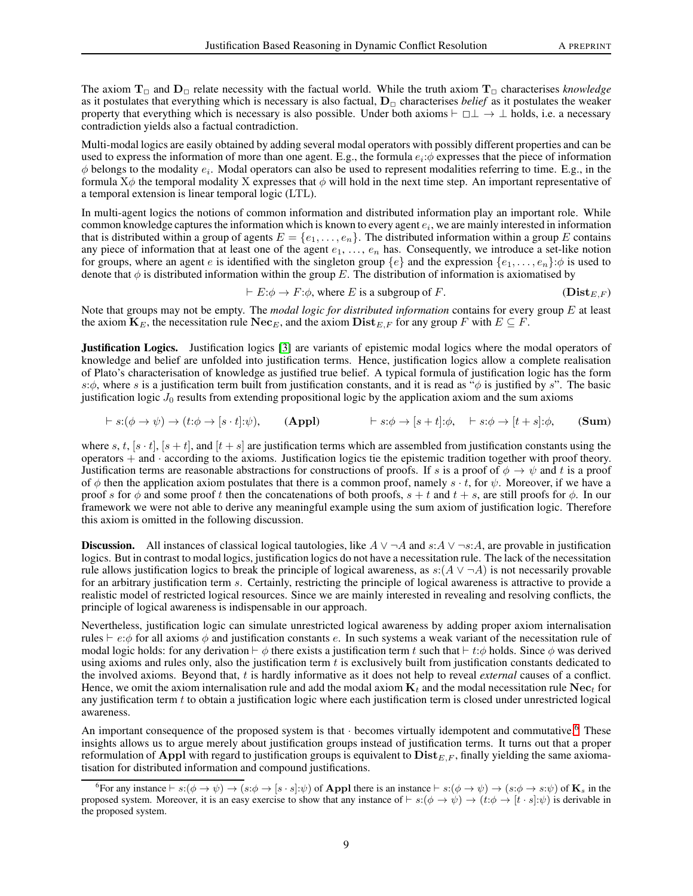The axiom  $T_{\Box}$  and  $D_{\Box}$  relate necessity with the factual world. While the truth axiom  $T_{\Box}$  characterises *knowledge* as it postulates that everything which is necessary is also factual,  $D<sub>o</sub>$  characterises *belief* as it postulates the weaker property that everything which is necessary is also possible. Under both axioms  $\vdash \Box \bot \rightarrow \bot$  holds, i.e. a necessary contradiction yields also a factual contradiction.

Multi-modal logics are easily obtained by adding several modal operators with possibly different properties and can be used to express the information of more than one agent. E.g., the formula  $e_i$ : $\phi$  expresses that the piece of information  $\phi$  belongs to the modality  $e_i$ . Modal operators can also be used to represent modalities referring to time. E.g., in the formula  $X\phi$  the temporal modality X expresses that  $\phi$  will hold in the next time step. An important representative of a temporal extension is linear temporal logic (LTL).

In multi-agent logics the notions of common information and distributed information play an important role. While common knowledge captures the information which is known to every agent  $e_i$ , we are mainly interested in information that is distributed within a group of agents  $E = \{e_1, \ldots, e_n\}$ . The distributed information within a group E contains any piece of information that at least one of the agent  $e_1, \ldots, e_n$  has. Consequently, we introduce a set-like notion for groups, where an agent e is identified with the singleton group  $\{e\}$  and the expression  $\{e_1, \ldots, e_n\}$ : $\phi$  is used to denote that  $\phi$  is distributed information within the group E. The distribution of information is axiomatised by

$$
\vdash E:\phi \to F:\phi, \text{ where } E \text{ is a subgroup of } F. \tag{Dist}_{E,F}
$$

Note that groups may not be empty. The *modal logic for distributed information* contains for every group E at least the axiom  $\mathbf{K}_E$ , the necessitation rule  $\mathbf{Nec}_E$ , and the axiom  $\mathbf{Dist}_{E,F}$  for any group F with  $E \subseteq F$ .

Justification Logics. Justification logics [\[3\]](#page-16-2) are variants of epistemic modal logics where the modal operators of knowledge and belief are unfolded into justification terms. Hence, justification logics allow a complete realisation of Plato's characterisation of knowledge as justified true belief. A typical formula of justification logic has the form s: $\phi$ , where s is a justification term built from justification constants, and it is read as " $\phi$  is justified by s". The basic justification logic  $J_0$  results from extending propositional logic by the application axiom and the sum axioms

$$
\vdash s:(\phi\to\psi)\to(t:\phi\to[s\cdot t]:\psi),\qquad\textbf{(Appl)}\qquad\qquad\vdash s:\phi\to[s+t]:\phi,\qquad\vdash s:\phi\to[t+s]:\phi,\qquad\textbf{(Sum)}
$$

where s, t,  $[s \cdot t]$ ,  $[s + t]$ , and  $[t + s]$  are justification terms which are assembled from justification constants using the operators  $+$  and  $\cdot$  according to the axioms. Justification logics tie the epistemic tradition together with proof theory. Justification terms are reasonable abstractions for constructions of proofs. If s is a proof of  $\phi \to \psi$  and t is a proof of  $\phi$  then the application axiom postulates that there is a common proof, namely  $s \cdot t$ , for  $\psi$ . Moreover, if we have a proof s for  $\phi$  and some proof t then the concatenations of both proofs,  $s + t$  and  $t + s$ , are still proofs for  $\phi$ . In our framework we were not able to derive any meaningful example using the sum axiom of justification logic. Therefore this axiom is omitted in the following discussion.

**Discussion.** All instances of classical logical tautologies, like  $A \lor \neg A$  and  $s:A \lor \neg s:A$ , are provable in justification logics. But in contrast to modal logics, justification logics do not have a necessitation rule. The lack of the necessitation rule allows justification logics to break the principle of logical awareness, as  $s:(A \vee \neg A)$  is not necessarily provable for an arbitrary justification term s. Certainly, restricting the principle of logical awareness is attractive to provide a realistic model of restricted logical resources. Since we are mainly interested in revealing and resolving conflicts, the principle of logical awareness is indispensable in our approach.

Nevertheless, justification logic can simulate unrestricted logical awareness by adding proper axiom internalisation rules  $\vdash e:\phi$  for all axioms  $\phi$  and justification constants e. In such systems a weak variant of the necessitation rule of modal logic holds: for any derivation  $\vdash \phi$  there exists a justification term t such that  $\vdash t:\phi$  holds. Since  $\phi$  was derived using axioms and rules only, also the justification term  $t$  is exclusively built from justification constants dedicated to the involved axioms. Beyond that, t is hardly informative as it does not help to reveal *external* causes of a conflict. Hence, we omit the axiom internalisation rule and add the modal axiom  $K_t$  and the modal necessitation rule Nec<sub>t</sub> for any justification term  $t$  to obtain a justification logic where each justification term is closed under unrestricted logical awareness.

An important consequence of the proposed system is that  $\cdot$  becomes virtually idempotent and commutative.<sup>[6](#page-8-0)</sup> These insights allows us to argue merely about justification groups instead of justification terms. It turns out that a proper reformulation of Appl with regard to justification groups is equivalent to  $\text{Dist}_{E,F}$ , finally yielding the same axiomatisation for distributed information and compound justifications.

<span id="page-8-0"></span> $^6$ For any instance  $\vdash s:(\phi \rightarrow \psi) \rightarrow (s:\phi \rightarrow [s \cdot s]:\psi)$  of **Appl** there is an instance  $\vdash s:(\phi \rightarrow \psi) \rightarrow (s:\phi \rightarrow s:\psi)$  of **K**<sub>s</sub> in the proposed system. Moreover, it is an easy exercise to show that any instance of  $\vdash s:(\phi \rightarrow \psi) \rightarrow (t:\phi \rightarrow [t \cdot s]:\psi)$  is derivable in the proposed system.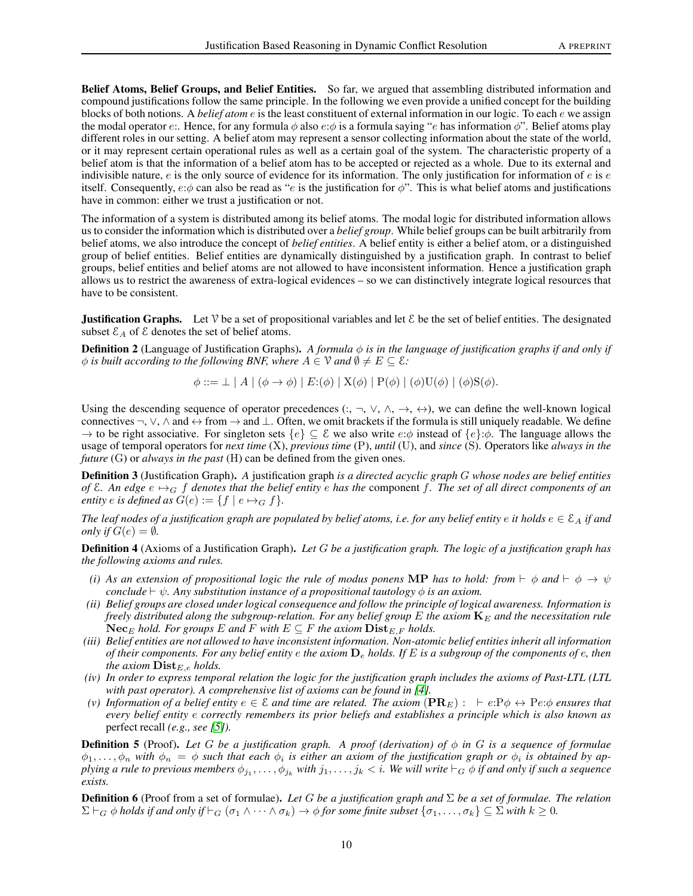<span id="page-9-0"></span>Belief Atoms, Belief Groups, and Belief Entities. So far, we argued that assembling distributed information and compound justifications follow the same principle. In the following we even provide a unified concept for the building blocks of both notions. A *belief atom* e is the least constituent of external information in our logic. To each e we assign the modal operator e:. Hence, for any formula  $\phi$  also e: $\phi$  is a formula saying "e has information  $\phi$ ". Belief atoms play different roles in our setting. A belief atom may represent a sensor collecting information about the state of the world, or it may represent certain operational rules as well as a certain goal of the system. The characteristic property of a belief atom is that the information of a belief atom has to be accepted or rejected as a whole. Due to its external and indivisible nature,  $e$  is the only source of evidence for its information. The only justification for information of  $e$  is  $e$ itself. Consequently,  $e:\phi$  can also be read as "e is the justification for  $\phi$ ". This is what belief atoms and justifications have in common: either we trust a justification or not.

The information of a system is distributed among its belief atoms. The modal logic for distributed information allows us to consider the information which is distributed over a *belief group*. While belief groups can be built arbitrarily from belief atoms, we also introduce the concept of *belief entities*. A belief entity is either a belief atom, or a distinguished group of belief entities. Belief entities are dynamically distinguished by a justification graph. In contrast to belief groups, belief entities and belief atoms are not allowed to have inconsistent information. Hence a justification graph allows us to restrict the awareness of extra-logical evidences – so we can distinctively integrate logical resources that have to be consistent.

**Justification Graphs.** Let  $\mathcal V$  be a set of propositional variables and let  $\mathcal E$  be the set of belief entities. The designated subset  $\mathcal{E}_A$  of  $\mathcal E$  denotes the set of belief atoms.

**Definition 2** (Language of Justification Graphs). A formula  $\phi$  is in the language of justification graphs if and only if  $\phi$  *is built according to the following BNF, where*  $A \in \mathcal{V}$  *and*  $\emptyset \neq E \subseteq \mathcal{E}$ *:* 

 $\phi ::= \perp | A | (\phi \rightarrow \phi) | E: (\phi) | X(\phi) | P(\phi) | (\phi) U(\phi) | (\phi) S(\phi).$ 

Using the descending sequence of operator precedences  $(:, \neg, \vee, \wedge, \rightarrow, \leftrightarrow)$ , we can define the well-known logical connectives  $\neg$ ,  $\vee$ ,  $\wedge$  and  $\leftrightarrow$  from  $\rightarrow$  and  $\perp$ . Often, we omit brackets if the formula is still uniquely readable. We define  $\rightarrow$  to be right associative. For singleton sets  $\{e\} \subseteq \mathcal{E}$  we also write  $e:\phi$  instead of  $\{e\}:\phi$ . The language allows the usage of temporal operators for *next time* (X), *previous time* (P), *until* (U), and *since* (S). Operators like *always in the future* (G) or *always in the past* (H) can be defined from the given ones.

Definition 3 (Justification Graph). *A* justification graph *is a directed acyclic graph* G *whose nodes are belief entities* of  $\epsilon$ *. An edge*  $e \mapsto_G f$  *denotes that the belief entity*  $e$  *has the* component f*. The set of all direct components of an entity e is defined as*  $G(e) := \{f \mid e \mapsto_G f\}.$ 

*The leaf nodes of a justification graph are populated by belief atoms, i.e. for any belief entity* e *it holds*  $e \in \mathcal{E}_A$  *if and only if*  $G(e) = \emptyset$ *.* 

<span id="page-9-1"></span>Definition 4 (Axioms of a Justification Graph). *Let* G *be a justification graph. The logic of a justification graph has the following axioms and rules.*

- *(i) As an extension of propositional logic the rule of modus ponens* MP *has to hold: from* ⊢  $\phi$  *and* ⊢  $\phi \rightarrow \psi$ *conclude*  $\vdash \psi$ *. Any substitution instance of a propositional tautology*  $\phi$  *is an axiom.*
- *(ii) Belief groups are closed under logical consequence and follow the principle of logical awareness. Information is freely distributed along the subgroup-relation. For any belief group* E *the axiom*  $K_E$  *and the necessitation rule*  $Nec<sub>E</sub>$  *hold. For groups* E and F with  $E \subseteq F$  *the axiom*  $Dist<sub>E,F</sub>$  *holds.*
- <span id="page-9-2"></span>*(iii) Belief entities are not allowed to have inconsistent information. Non-atomic belief entities inherit all information of their components. For any belief entity* e *the axiom* D<sup>e</sup> *holds. If* E *is a subgroup of the components of* e*, then the axiom*  $\mathbf{Dist}_{E,e}$  *holds.*
- *(iv) In order to express temporal relation the logic for the justification graph includes the axioms of Past-LTL (LTL* with past operator). A comprehensive list of axioms can be found in [\[4\]](#page-16-3).
- *(v) Information of a belief entity*  $e \in \mathcal{E}$  *and time are related. The axiom* ( $\mathbf{PR}_E$ ) : ⊢  $e$ : $\mathbf{P}\phi \leftrightarrow \mathbf{P}e$ : $\phi$  *ensures that every belief entity* e *correctly remembers its prior beliefs and establishes a principle which is also known as* perfect recall *(e.g., see [\[5\]](#page-16-4)).*

Definition 5 (Proof). *Let* G *be a justification graph. A proof (derivation) of* φ *in* G *is a sequence of formulae*  $\phi_1,\ldots,\phi_n$  with  $\phi_n = \phi$  such that each  $\phi_i$  is either an axiom of the justification graph or  $\phi_i$  is obtained by applying a rule to previous members  $\phi_{j_1},\ldots,\phi_{j_k}$  with  $j_1,\ldots,j_k$   $<$   $i$ . We will write  $\vdash_G\phi$  if and only if such a sequence *exists.*

Definition 6 (Proof from a set of formulae). *Let* G *be a justification graph and* Σ *be a set of formulae. The relation*  $\Sigma \vdash_G \phi$  *holds if and only if*  $\vdash_G (\sigma_1 \wedge \cdots \wedge \sigma_k) \rightarrow \phi$  *for some finite subset*  $\{\sigma_1, \ldots, \sigma_k\} \subseteq \Sigma$  *with*  $k \geq 0$ *.*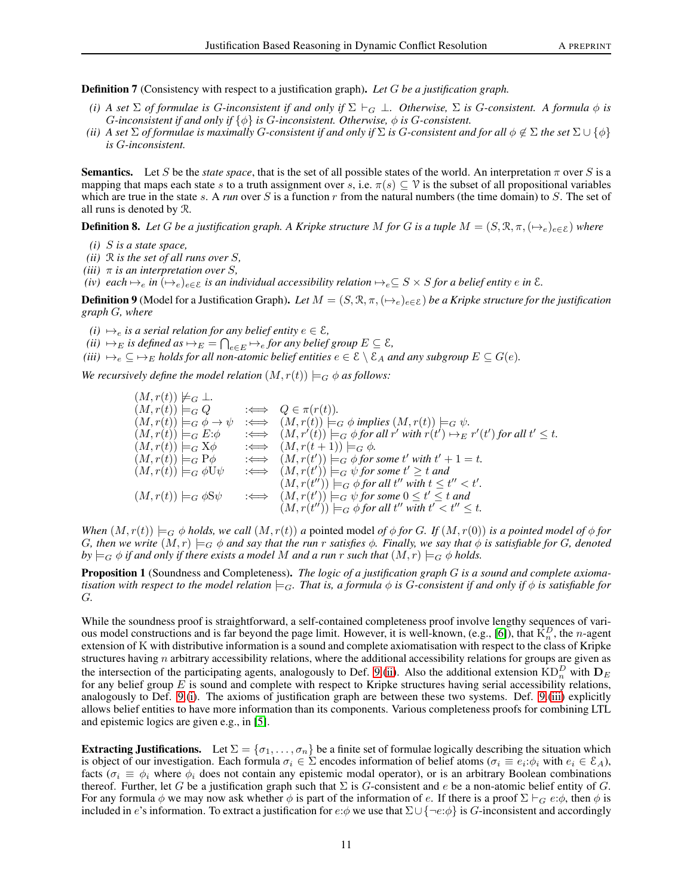Definition 7 (Consistency with respect to a justification graph). *Let* G *be a justification graph.*

- *(i)* A set  $\Sigma$  *of formulae is* G-inconsistent if and only if  $\Sigma \vdash_G \bot$ . Otherwise,  $\Sigma$  is G-consistent. A formula  $\phi$  is G*-inconsistent if and only if* {φ} *is* G*-inconsistent. Otherwise,* φ *is* G*-consistent.*
- *(ii)* A set  $\Sigma$  *of formulae is maximally* G-consistent if and only if  $\Sigma$  is G-consistent and for all  $\phi \notin \Sigma$  the set  $\Sigma \cup \{\phi\}$ *is* G*-inconsistent.*

**Semantics.** Let S be the *state space*, that is the set of all possible states of the world. An interpretation  $\pi$  over S is a mapping that maps each state s to a truth assignment over s, i.e.  $\pi(s) \subseteq \mathcal{V}$  is the subset of all propositional variables which are true in the state s. A *run* over S is a function r from the natural numbers (the time domain) to S. The set of all runs is denoted by R.

**Definition 8.** Let G be a justification graph. A Kripke structure M for G is a tuple  $M = (S, \mathcal{R}, \pi, (\rightarrow_e)_{e \in \mathcal{E}})$  where

- *(i)* S *is a state space,*
- *(ii)* R *is the set of all runs over* S*,*
- *(iii)*  $\pi$  *is an interpretation over S*,
- *(iv)* each  $\mapsto_e$  *in*  $(\mapsto_e)_{e \in \mathcal{E}}$  *is an individual accessibility relation*  $\mapsto_e \subseteq S \times S$  *for a belief entity*  $e$  *in*  $\mathcal{E}$ *.*

<span id="page-10-0"></span>**Definition 9** (Model for a Justification Graph). Let  $M = (S, \mathcal{R}, \pi, (\rightarrow_e)_{e \in \mathcal{E}})$  *be a Kripke structure for the justification graph* G*, where*

- <span id="page-10-2"></span><span id="page-10-1"></span> $(i) \mapsto_e$  *is a serial relation for any belief entity*  $e \in \mathcal{E}$ *,*
- <span id="page-10-3"></span> $(iii) \mapsto_{E}$  *is defined as*  $\mapsto_{E} = \bigcap_{e \in E} \mapsto_{e}$  *for any belief group*  $E \subseteq \mathcal{E}$ *,*
- *(iii)*  $\mapsto_e \subseteq \mapsto_E$  *holds for all non-atomic belief entities*  $e \in \mathcal{E} \setminus \mathcal{E}_A$  *and any subgroup*  $E \subseteq G(e)$ *.*

*We recursively define the model relation*  $(M, r(t)) \models_G \phi$  *as follows:* 

 $(M, r(t)) \not\models G \bot.$ <br>  $(M, r(t)) \models_G Q$  $(M, r(t)) \models_G Q \qquad \Longleftrightarrow \ Q \in \pi(r(t)).$  $(M, r(t)) \models_G \phi \to \psi \iff (M, r(t)) \models_G \phi \text{ implies } (M, r(t)) \models_G \psi.$  $(M, r(t)) \models_G E: \phi \quad \Longleftrightarrow \quad (M, r'(t)) \models_G \phi \text{ for all } r' \text{ with } r(t') \mapsto_E r'(t') \text{ for all } t' \leq t.$  $(M, r(t)) \models_G X\phi \qquad \Longleftrightarrow \quad (M, r(t+1)) \models_G \phi.$  $(M, r(t)) \models_G P\phi \qquad \Longleftrightarrow \quad (M, r(t')) \models_G \phi \text{ for some } t' \text{ with } t' + 1 = t.$  $(M, r(t)) \models_G \phi \mathsf{U} \psi \quad \iff \quad (M, r(t')) \models_G \psi \text{ for some } t' \geq t \text{ and }$  $(M, r(t'')) \models_G \phi$  for all  $t''$  with  $t \leq t'' < t'$ .  $(M, r(t)) \models_G \phi \in \mathcal{S}\psi \quad \Longleftrightarrow \quad (M, r(t))$  $\phi$   $\left( \right)$   $\models$ <sub>G</sub>  $\psi$  *for some*  $0 \leq t' \leq t$  *and*  $(M, r(t'')) \models_G \phi$  for all  $t''$  with  $t' < t'' \leq t$ .

*When*  $(M, r(t)) \models_G \phi$  *holds, we call*  $(M, r(t))$  *a* pointed model *of*  $\phi$  *for G. If*  $(M, r(0))$  *is a pointed model of*  $\phi$  *for* G, then we write  $(M, r) \models_G \phi$  and say that the run r satisfies  $\phi$ . Finally, we say that  $\phi$  is satisfiable for G, denoted  $by \models_G \phi$  *if and only if there exists a model M and a run* r *such that*  $(M, r) \models_G \phi$  *holds.* 

Proposition 1 (Soundness and Completeness). *The logic of a justification graph* G *is a sound and complete axiomatisation with respect to the model relation*  $\models_G$ *. That is, a formula*  $\phi$  *is G-consistent if and only if*  $\phi$  *is satisfiable for* G*.*

While the soundness proof is straightforward, a self-contained completeness proof involve lengthy sequences of vari-ous model constructions and is far beyond the page limit. However, it is well-known, (e.g., [\[6\]](#page-16-5)), that  $\overline{K}_n^D$ , the *n*-agent extension of K with distributive information is a sound and complete axiomatisation with respect to the class of Kripke structures having  $n$  arbitrary accessibility relations, where the additional accessibility relations for groups are given as the intersection of the participating agents, analogously to Def. [9.](#page-10-0)[\(ii\)](#page-10-1). Also the additional extension  $\mathrm{KD}_n^D$  with  $\mathbf{D}_E$ for any belief group  $E$  is sound and complete with respect to Kripke structures having serial accessibility relations, analogously to Def. [9.](#page-10-0)[\(i\)](#page-10-2). The axioms of justification graph are between these two systems. Def. [9.](#page-10-0)[\(iii\)](#page-10-3) explicitly allows belief entities to have more information than its components. Various completeness proofs for combining LTL and epistemic logics are given e.g., in [\[5\]](#page-16-4).

**Extracting Justifications.** Let  $\Sigma = {\sigma_1, \ldots, \sigma_n}$  be a finite set of formulae logically describing the situation which is object of our investigation. Each formula  $\sigma_i \in \Sigma$  encodes information of belief atoms ( $\sigma_i \equiv e_i \phi_i$  with  $e_i \in \mathcal{E}_A$ ), facts ( $\sigma_i \equiv \phi_i$  where  $\phi_i$  does not contain any epistemic modal operator), or is an arbitrary Boolean combinations thereof. Further, let G be a justification graph such that  $\Sigma$  is G-consistent and e be a non-atomic belief entity of G. For any formula  $\phi$  we may now ask whether  $\phi$  is part of the information of e. If there is a proof  $\Sigma \vdash_G e:\phi$ , then  $\phi$  is included in e's information. To extract a justification for e: $\phi$  we use that  $\Sigma \cup {\neg e:\phi}$  is G-inconsistent and accordingly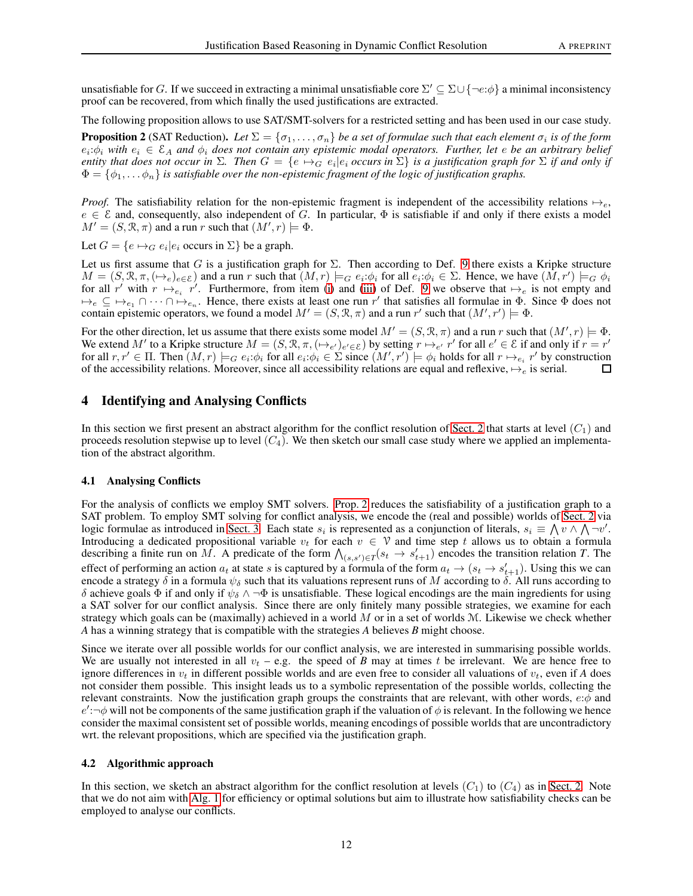unsatisfiable for G. If we succeed in extracting a minimal unsatisfiable core  $\Sigma' \subseteq \Sigma \cup \{\neg e : \phi\}$  a minimal inconsistency proof can be recovered, from which finally the used justifications are extracted.

The following proposition allows to use SAT/SMT-solvers for a restricted setting and has been used in our case study.

<span id="page-11-2"></span>**Proposition 2** (SAT Reduction). Let  $\Sigma = \{\sigma_1,\ldots,\sigma_n\}$  be a set of formulae such that each element  $\sigma_i$  is of the form  $e_i:\phi_i$  with  $e_i \in \mathcal{E}_A$  and  $\phi_i$  does not contain any epistemic modal operators. Further, let e be an arbitrary belief *entity that does not occur in*  $\Sigma$ *. Then*  $G = \{e \mapsto_G e_i | e_i$  occurs in  $\Sigma\}$  *is a justification graph for*  $\Sigma$  *if and only if*  $\Phi = {\phi_1, \ldots \phi_n}$  *is satisfiable over the non-epistemic fragment of the logic of justification graphs.* 

*Proof.* The satisfiability relation for the non-epistemic fragment is independent of the accessibility relations  $\mapsto_e$ ,  $e \in \mathcal{E}$  and, consequently, also independent of G. In particular,  $\Phi$  is satisfiable if and only if there exists a model  $M' = (S, \mathcal{R}, \pi)$  and a run r such that  $(M', r) \models \Phi$ .

Let  $G = \{e \mapsto_G e_i | e_i \text{ occurs in } \Sigma\}$  be a graph.

Let us first assume that G is a justification graph for  $\Sigma$ . Then according to Def. [9](#page-10-0) there exists a Kripke structure  $M = (S, \mathcal{R}, \pi, (\mapsto_e)_{e \in \mathcal{E}})$  and a run r such that  $(M, r) \models_G e_i : \phi_i$  for all  $e_i : \phi_i \in \Sigma$ . Hence, we have  $(M, r') \models_G \phi_i$ for all r' with  $r \mapsto_{e_i} r'$ . Furthermore, from item [\(i\)](#page-10-2) and [\(iii\)](#page-10-3) of Def. [9](#page-10-0) we observe that  $\mapsto_e$  is not empty and  $\forall e \subseteq \forall e_1 \cap \cdots \cap \forall e_n$ . Hence, there exists at least one run r' that satisfies all formulae in  $\Phi$ . Since  $\Phi$  does not contain epistemic operators, we found a model  $M' = (S, \mathcal{R}, \pi)$  and a run r' such that  $(M', r') \models \Phi$ .

For the other direction, let us assume that there exists some model  $M' = (S, \mathcal{R}, \pi)$  and a run r such that  $(M', r) \models \Phi$ . We extend M' to a Kripke structure  $M = (S, \mathcal{R}, \pi, (\rightarrow_{e'})_{e' \in \mathcal{E}})$  by setting  $r \mapsto_{e'} r'$  for all  $e' \in \mathcal{E}$  if and only if  $r = r'$ for all  $r, r' \in \Pi$ . Then  $(M, r) \models_G e_i : \phi_i$  for all  $e_i : \phi_i \in \Sigma$  since  $(M', r') \models \phi_i$  holds for all  $r \mapsto_{e_i} r'$  by construction of the accessibility relations. Moreover, since all accessibility relations are equal and reflexive,  $\mapsto_e$  is serial.

## <span id="page-11-0"></span>4 Identifying and Analysing Conflicts

In this section we first present an abstract algorithm for the conflict resolution of [Sect. 2](#page-1-0) that starts at level  $(C_1)$  and proceeds resolution stepwise up to level  $(C_4)$ . We then sketch our small case study where we applied an implementation of the abstract algorithm.

#### <span id="page-11-3"></span>4.1 Analysing Conflicts

For the analysis of conflicts we employ SMT solvers. [Prop. 2](#page-11-2) reduces the satisfiability of a justification graph to a SAT problem. To employ SMT solving for conflict analysis, we encode the (real and possible) worlds of [Sect. 2](#page-1-0) via logic formulae as introduced in [Sect. 3.](#page-7-0) Each state  $s_i$  is represented as a conjunction of literals,  $s_i \equiv \bigwedge v \land \bigwedge \neg v'$ . Introducing a dedicated propositional variable  $v_t$  for each  $v \in V$  and time step t allows us to obtain a formula describing a finite run on M. A predicate of the form  $\bigwedge_{(s,s')\in T}(s_t \to s'_{t+1})$  encodes the transition relation T. The effect of performing an action  $a_t$  at state s is captured by a formula of the form  $a_t \to (s_t \to s'_{t+1})$ . Using this we can encode a strategy  $\delta$  in a formula  $\psi_{\delta}$  such that its valuations represent runs of M according to  $\delta$ . All runs according to δ achieve goals  $\Phi$  if and only if  $\psi_{\delta} \wedge \neg \Phi$  is unsatisfiable. These logical encodings are the main ingredients for using a SAT solver for our conflict analysis. Since there are only finitely many possible strategies, we examine for each strategy which goals can be (maximally) achieved in a world M or in a set of worlds M. Likewise we check whether *A* has a winning strategy that is compatible with the strategies *A* believes *B* might choose.

Since we iterate over all possible worlds for our conflict analysis, we are interested in summarising possible worlds. We are usually not interested in all  $v_t$  – e.g. the speed of *B* may at times t be irrelevant. We are hence free to ignore differences in  $v_t$  in different possible worlds and are even free to consider all valuations of  $v_t$ , even if *A* does not consider them possible. This insight leads us to a symbolic representation of the possible worlds, collecting the relevant constraints. Now the justification graph groups the constraints that are relevant, with other words,  $e:\phi$  and  $e'$ : $\neg \phi$  will not be components of the same justification graph if the valuation of  $\phi$  is relevant. In the following we hence consider the maximal consistent set of possible worlds, meaning encodings of possible worlds that are uncontradictory wrt. the relevant propositions, which are specified via the justification graph.

#### <span id="page-11-1"></span>4.2 Algorithmic approach

In this section, we sketch an abstract algorithm for the conflict resolution at levels  $(C_1)$  to  $(C_4)$  as in [Sect. 2.](#page-1-0) Note that we do not aim with [Alg. 1](#page-12-0) for efficiency or optimal solutions but aim to illustrate how satisfiability checks can be employed to analyse our conflicts.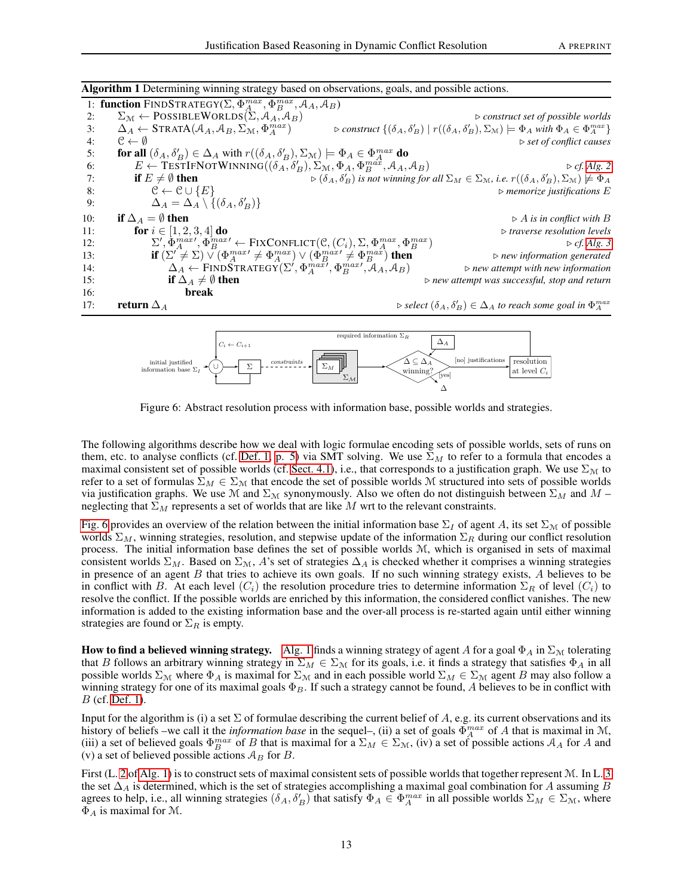Algorithm 1 Determining winning strategy based on observations, goals, and possible actions. 1: function FINDSTRATEGY( $\Sigma$ ,  $\Phi_A^{max}$ ,  $\Phi_B^{max}$ ,  $\mathcal{A}_A$ ,  $\mathcal{A}_B$ ) 2:  $\Sigma_{\mathcal{M}} \leftarrow \text{POSIBLEWORIDS}(\Sigma, \mathcal{A}_A, \mathcal{A}_B)$  >  $\longrightarrow$  *construct set of possible worlds*<br>3:  $\Delta_A \leftarrow \text{STRATA}(\mathcal{A}_A, \mathcal{A}_B, \Sigma_M, \Phi_A^{max})$  > *construct*  $\{(\delta_A, \delta_B') | r((\delta_A, \delta_B'), \Sigma_M) \models \Phi_A \text{ with } \Phi_A \in \Phi_A^{max}\}$ 3:  $\Delta_A \leftarrow \text{STRATA}(\mathcal{A}_A, \mathcal{A}_B, \Sigma_M, \Phi_A^{max})$  $\left( \begin{matrix} \delta_A, \delta'_B \end{matrix} \right) \mid r((\delta_A, \delta'_B), \Sigma_{\mathcal{M}}) \models \Phi_A \text{ with } \Phi_A \in \Phi_A^{max} \}$ 4:  $C \leftarrow \emptyset$   $\triangleright$  *set of conflict causes* 5: **for all**  $(\delta_A, \delta'_B) \in \Delta_A$  with  $r((\delta_A, \delta'_B), \Sigma_{\mathcal{M}}) \models \Phi_A \in \Phi_A^{max}$  do 6:  $E \leftarrow \text{TESTIFNOTWINNING}((\delta_A, \delta_B'), \Sigma_M, \Phi_A, \Phi_B^{m\alpha}, \mathcal{A}_A, \mathcal{A}_B)$   $\triangleright cf. Alg. 2$  $\triangleright cf. Alg. 2$ 7: **if**  $E \neq \emptyset$  then  $\mathcal{B}'_B$ ) is not winning for all  $\Sigma_M \in \Sigma_M$ , i.e.  $r((\delta_A, \delta_B'), \Sigma_M) \not\models \Phi_A$ 8:  $\mathcal{C} \leftarrow \mathcal{C} \cup \{E\}$   $\triangleright$  *memorize justifications* E 9:  $\Delta_A = \Delta_A \setminus \{(\delta_A, \delta'_B)\}\$ 10: **if**  $\Delta_A = \emptyset$  **then**  $\triangleright$  *A* is in conflict with B<br>11: **for**  $i \in [1, 2, 3, 4]$  **do**  $\triangleright$  *traverse resolution levels* 11: **for**  $i \in [1, 2, 3, 4]$  **do**  $\triangleright$  *traverse resolution levels* 12:  $\Sigma', \Phi_A^{max}, \Phi_B^{max} \leftarrow \text{FixConFlict}(\mathcal{C}, (C_i), \Sigma, \Phi_A^{max}, \Phi_B^{max})$ <sup>B</sup> ) ⊲ *cf. [Alg. 3](#page-13-1)* 13: **if**  $(\Sigma'^2 \neq \Sigma) \vee (\Phi^{max'}_A \neq \Phi^{max}_{A}) \vee (\Phi^{max'}_B \neq \Phi^{max}_{B})$ <sup>B</sup> ) then ⊲ *new information generated* 14:  $\Delta_A \leftarrow \text{FIND} \overset{\triangle}{\text{TRD}} \overset{\triangle}{\text{TRATEGY}} (\Sigma', \Phi_A^{max}, \Phi_B^{max})$ , AA, AB) <sup>⊲</sup> *new attempt with new information* 15: **if**  $\Delta_A \neq \emptyset$  **then**  $\therefore$   $\therefore$  **if**  $\Delta_A \neq \emptyset$  **then** 16: break 17: **return**  $\Delta_A$  **select**  $(\delta_A, \delta'_B) \in \Delta_A$  *to reach some goal in*  $\Phi_A^{max}$ 

<span id="page-12-0"></span>

<span id="page-12-1"></span>Figure 6: Abstract resolution process with information base, possible worlds and strategies.

The following algorithms describe how we deal with logic formulae encoding sets of possible worlds, sets of runs on them, etc. to analyse conflicts (cf. [Def. 1, p. 5\)](#page-4-0) via SMT solving. We use  $\Sigma_M$  to refer to a formula that encodes a maximal consistent set of possible worlds (cf. [Sect. 4.1\)](#page-11-3), i.e., that corresponds to a justification graph. We use  $\Sigma_{\mathcal{M}}$  to refer to a set of formulas  $\Sigma_M \in \Sigma_M$  that encode the set of possible worlds M structured into sets of possible worlds via justification graphs. We use M and  $\Sigma_M$  synonymously. Also we often do not distinguish between  $\Sigma_M$  and  $M$  – neglecting that  $\Sigma_M$  represents a set of worlds that are like M wrt to the relevant constraints.

[Fig. 6](#page-12-1) provides an overview of the relation between the initial information base  $\Sigma_I$  of agent A, its set  $\Sigma_M$  of possible worlds  $\Sigma_M$ , winning strategies, resolution, and stepwise update of the information  $\Sigma_R$  during our conflict resolution process. The initial information base defines the set of possible worlds M, which is organised in sets of maximal consistent worlds  $\Sigma_M$ . Based on  $\Sigma_M$ , A's set of strategies  $\Delta_A$  is checked whether it comprises a winning strategies in presence of an agent B that tries to achieve its own goals. If no such winning strategy exists, A believes to be in conflict with B. At each level  $(C_i)$  the resolution procedure tries to determine information  $\Sigma_R$  of level  $(C_i)$  to resolve the conflict. If the possible worlds are enriched by this information, the considered conflict vanishes. The new information is added to the existing information base and the over-all process is re-started again until either winning strategies are found or  $\Sigma_R$  is empty.

<span id="page-12-2"></span>How to find a believed winning strategy. [Alg. 1](#page-12-0) finds a winning strategy of agent A for a goal  $\Phi_A$  in  $\Sigma_M$  tolerating that B follows an arbitrary winning strategy in  $\Sigma_M \in \Sigma_M$  for its goals, i.e. it finds a strategy that satisfies  $\Phi_A$  in all possible worlds  $\Sigma_M$  where  $\Phi_A$  is maximal for  $\Sigma_M$  and in each possible world  $\Sigma_M \in \Sigma_M$  agent B may also follow a winning strategy for one of its maximal goals  $\Phi_B$ . If such a strategy cannot be found, A believes to be in conflict with B (cf. [Def. 1\)](#page-4-0).

Input for the algorithm is (i) a set  $\Sigma$  of formulae describing the current belief of A, e.g. its current observations and its history of beliefs –we call it the *information base* in the sequel–, (ii) a set of goals  $\Phi_A^{max}$  of A that is maximal in M, (iii) a set of believed goals  $\Phi_B^{max}$  of B that is maximal for a  $\Sigma_M \in \Sigma_{\mathcal{M}}$ , (iv) a set of possible actions  $\mathcal{A}_A$  for A and (v) a set of believed possible actions  $A_B$  for B.

First (L. [2](#page-11-1) of [Alg. 1\)](#page-12-0) is to construct sets of maximal consistent sets of possible worlds that together represent M. In L. [3](#page-11-1) the set  $\Delta_A$  is determined, which is the set of strategies accomplishing a maximal goal combination for A assuming B agrees to help, i.e., all winning strategies  $(\delta_A, \delta_B')$  that satisfy  $\Phi_A \in \Phi_A^{max}$  in all possible worlds  $\Sigma_M \in \Sigma_{\mathcal{M}}$ , where  $\Phi_A$  is maximal for M.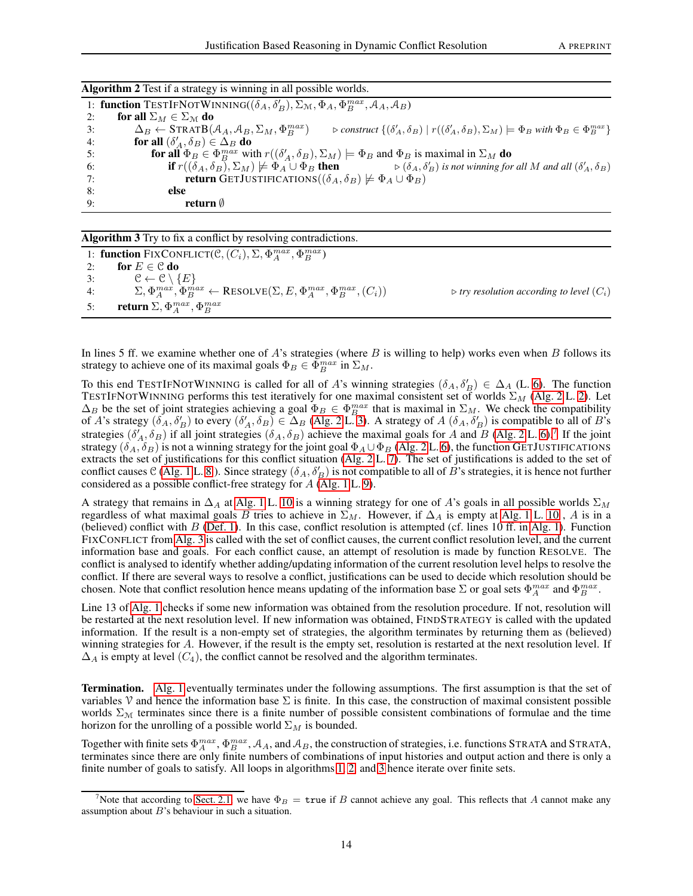| 1: function TESTIFNOTWINNING( $(\delta_A, \delta_B')$ , $\Sigma_M$ , $\Phi_A$ , $\Phi_B^{max}$ , $\mathcal{A}_A$ , $\mathcal{A}_B$ )                                                                                                             |  |  |  |
|--------------------------------------------------------------------------------------------------------------------------------------------------------------------------------------------------------------------------------------------------|--|--|--|
| for all $\Sigma_M \in \Sigma_M$ do<br>2:                                                                                                                                                                                                         |  |  |  |
| $\Delta_B \leftarrow$ STRATB $(\mathcal{A}_A, \mathcal{A}_B, \Sigma_M, \Phi_R^{max})$<br>$\triangleright$ construct $\{(\delta'_A, \delta_B)   r((\delta'_A, \delta_B), \Sigma_M) \models \Phi_B \text{ with } \Phi_B \in \Phi_B^{max}\}\$<br>3: |  |  |  |
| for all $(\delta'_A, \delta_B) \in \Delta_B$ do<br>4:                                                                                                                                                                                            |  |  |  |
| <b>for all</b> $\Phi_B \in \Phi_B^{max}$ with $r((\delta'_A, \delta_B), \Sigma_M) \models \Phi_B$ and $\Phi_B$ is maximal in $\Sigma_M$ do<br>.5:                                                                                                |  |  |  |
| <b>if</b> $r((\delta_A, \delta_B), \Sigma_M) \not\models \Phi_A \cup \Phi_B$ <b>then</b> $\triangleright (\delta_A, \delta'_B)$ is not winning for all M and all $(\delta'_A, \delta_B)$<br>6:                                                   |  |  |  |
| <b>return</b> GETJUSTIFICATIONS( $(\delta_A, \delta_B) \not\models \Phi_A \cup \Phi_B$ )<br>7:                                                                                                                                                   |  |  |  |
| 8:<br>else                                                                                                                                                                                                                                       |  |  |  |
| return $\emptyset$<br>9:                                                                                                                                                                                                                         |  |  |  |
|                                                                                                                                                                                                                                                  |  |  |  |

Algorithm 2 Test if a strategy is winning in all possible worlds.

<span id="page-13-0"></span>Algorithm 3 Try to fix a conflict by resolving contradictions.

|    | 1: function FIXCONFLICT( $\mathcal{C}, (C_i), \Sigma, \Phi_A^{max}, \Phi_B^{max}$ )                      |                                                            |
|----|----------------------------------------------------------------------------------------------------------|------------------------------------------------------------|
|    | for $E\in\mathcal{C}$ do                                                                                 |                                                            |
| 3: | $\mathcal{C} \leftarrow \mathcal{C} \setminus \{E\}$                                                     |                                                            |
| 4: | $\Sigma, \Phi_A^{max}, \Phi_B^{max} \leftarrow$ RESOLVE $(\Sigma, E, \Phi_A^{max}, \Phi_B^{max}, (C_i))$ | $\triangleright$ try resolution according to level $(C_i)$ |
| 5: | return $\Sigma, \Phi^{max}_A, \Phi^{max}_B$                                                              |                                                            |

<span id="page-13-1"></span>In lines 5 ff. we examine whether one of A's strategies (where B is willing to help) works even when B follows its strategy to achieve one of its maximal goals  $\Phi_B \in \Phi_B^{max}$  in  $\Sigma_M$ .

To this end TESTIFNOTWINNING is called for all of A's winning strategies  $(\delta_A, \delta'_B) \in \Delta_A$  (L. [6\)](#page-11-1). The function TESTIFNOTWINNING performs this test iteratively for one maximal consistent set of worlds  $\Sigma_M$  [\(Alg. 2](#page-13-0) L. [2\)](#page-12-2). Let  $\Delta_B$  be the set of joint strategies achieving a goal  $\Phi_B \in \Phi_B^{max}$  that is maximal in  $\Sigma_M$ . We check the compatibility of A's strategy  $(\delta_A, \delta_B')$  to every  $(\delta_A', \delta_B) \in \Delta_B$  [\(Alg. 2](#page-13-0) L. [3\)](#page-12-2). A strategy of  $A(\delta_A, \delta_B')$  is compatible to all of B's strategies  $(\delta'_{A}, \delta_{B})$  if all joint strategies  $(\delta_{A}, \delta_{B})$  achieve the maximal goals for A and B [\(Alg. 2](#page-13-0) L. [6\)](#page-12-2).<sup>[7](#page-13-2)</sup> If the joint strategy ( $\delta_A, \delta_B$ ) is not a winning strategy for the joint goal  $\Phi_A \cup \Phi_B$  [\(Alg. 2](#page-13-0) L. [6\)](#page-12-2), the function GETJUSTIFICATIONS extracts the set of justifications for this conflict situation [\(Alg. 2](#page-13-0) L. [7\)](#page-12-2). The set of justifications is added to the set of conflict causes C [\(Alg. 1](#page-12-0) L. [8.](#page-11-1)). Since strategy  $(\delta_A, \delta'_B)$  is not compatible to all of  $\tilde{B}$ 's strategies, it is hence not further considered as a possible conflict-free strategy for  $A$  [\(Alg. 1](#page-12-0) L. [9\)](#page-11-1).

A strategy that remains in  $\Delta_A$  at [Alg. 1](#page-12-0) L. [10](#page-11-1) is a winning strategy for one of A's goals in all possible worlds  $\Sigma_M$ regardless of what maximal goals B tries to achieve in  $\Sigma_M$ . However, if  $\Delta_A$  is empty at [Alg. 1](#page-12-0) L. [10](#page-11-1), A is in a (believed) conflict with  $B$  [\(Def. 1\)](#page-4-0). In this case, conflict resolution is attempted (cf. lines 10 ff. in [Alg. 1\)](#page-12-0). Function FIXCONFLICT from [Alg. 3](#page-13-1) is called with the set of conflict causes, the current conflict resolution level, and the current information base and goals. For each conflict cause, an attempt of resolution is made by function RESOLVE. The conflict is analysed to identify whether adding/updating information of the current resolution level helps to resolve the conflict. If there are several ways to resolve a conflict, justifications can be used to decide which resolution should be chosen. Note that conflict resolution hence means updating of the information base  $\Sigma$  or goal sets  $\Phi_A^{max}$  and  $\Phi_B^{max}$ .

Line 13 of [Alg. 1](#page-12-0) checks if some new information was obtained from the resolution procedure. If not, resolution will be restarted at the next resolution level. If new information was obtained, FINDSTRATEGY is called with the updated information. If the result is a non-empty set of strategies, the algorithm terminates by returning them as (believed) winning strategies for A. However, if the result is the empty set, resolution is restarted at the next resolution level. If  $\Delta_A$  is empty at level  $(C_4)$ , the conflict cannot be resolved and the algorithm terminates.

Termination. [Alg. 1](#page-12-0) eventually terminates under the following assumptions. The first assumption is that the set of variables V and hence the information base  $\Sigma$  is finite. In this case, the construction of maximal consistent possible worlds  $\Sigma_{\mathcal{M}}$  terminates since there is a finite number of possible consistent combinations of formulae and the time horizon for the unrolling of a possible world  $\Sigma_M$  is bounded.

Together with finite sets  $\Phi_A^{max}$ ,  $\Phi_B^{max}$ ,  $A_A$ , and  $A_B$ , the construction of strategies, i.e. functions STRATA and STRATA, terminates since there are only finite numbers of combinations of input histories and output action and there is only a finite number of goals to satisfy. All loops in algorithms [1,](#page-12-0) [2,](#page-13-0) and [3](#page-13-1) hence iterate over finite sets.

<span id="page-13-2"></span>Note that according to [Sect. 2.1,](#page-3-0) we have  $\Phi_B = \text{true}$  if B cannot achieve any goal. This reflects that A cannot make any assumption about  $B$ 's behaviour in such a situation.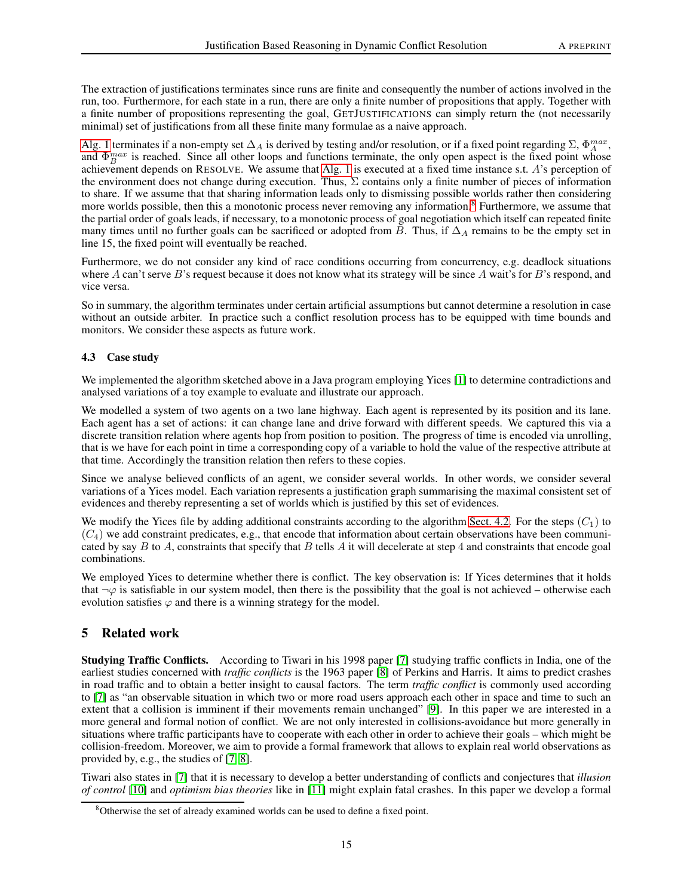The extraction of justifications terminates since runs are finite and consequently the number of actions involved in the run, too. Furthermore, for each state in a run, there are only a finite number of propositions that apply. Together with a finite number of propositions representing the goal, GETJUSTIFICATIONS can simply return the (not necessarily minimal) set of justifications from all these finite many formulae as a naive approach.

[Alg. 1](#page-12-0) terminates if a non-empty set  $\Delta_A$  is derived by testing and/or resolution, or if a fixed point regarding  $\Sigma$ ,  $\Phi_A^{max}$ , and  $\Phi_B^{max}$  is reached. Since all other loops and functions terminate, the only open aspect is the fixed point whose achievement depends on RESOLVE. We assume that [Alg. 1](#page-12-0) is executed at a fixed time instance s.t. A's perception of the environment does not change during execution. Thus,  $\Sigma$  contains only a finite number of pieces of information to share. If we assume that that sharing information leads only to dismissing possible worlds rather then considering more worlds possible, then this a monotonic process never removing any information.<sup>[8](#page-14-1)</sup> Furthermore, we assume that the partial order of goals leads, if necessary, to a monotonic process of goal negotiation which itself can repeated finite many times until no further goals can be sacrificed or adopted from B. Thus, if  $\Delta_A$  remains to be the empty set in line 15, the fixed point will eventually be reached.

Furthermore, we do not consider any kind of race conditions occurring from concurrency, e.g. deadlock situations where A can't serve B's request because it does not know what its strategy will be since A wait's for B's respond, and vice versa.

So in summary, the algorithm terminates under certain artificial assumptions but cannot determine a resolution in case without an outside arbiter. In practice such a conflict resolution process has to be equipped with time bounds and monitors. We consider these aspects as future work.

## 4.3 Case study

We implemented the algorithm sketched above in a Java program employing Yices [\[1\]](#page-16-0) to determine contradictions and analysed variations of a toy example to evaluate and illustrate our approach.

We modelled a system of two agents on a two lane highway. Each agent is represented by its position and its lane. Each agent has a set of actions: it can change lane and drive forward with different speeds. We captured this via a discrete transition relation where agents hop from position to position. The progress of time is encoded via unrolling, that is we have for each point in time a corresponding copy of a variable to hold the value of the respective attribute at that time. Accordingly the transition relation then refers to these copies.

Since we analyse believed conflicts of an agent, we consider several worlds. In other words, we consider several variations of a Yices model. Each variation represents a justification graph summarising the maximal consistent set of evidences and thereby representing a set of worlds which is justified by this set of evidences.

We modify the Yices file by adding additional constraints according to the algorithm [Sect. 4.2.](#page-11-1) For the steps  $(C_1)$  to  $(C_4)$  we add constraint predicates, e.g., that encode that information about certain observations have been communicated by say  $B$  to  $A$ , constraints that specify that  $B$  tells  $A$  it will decelerate at step 4 and constraints that encode goal combinations.

We employed Yices to determine whether there is conflict. The key observation is: If Yices determines that it holds that  $\neg \varphi$  is satisfiable in our system model, then there is the possibility that the goal is not achieved – otherwise each evolution satisfies  $\varphi$  and there is a winning strategy for the model.

# <span id="page-14-0"></span>5 Related work

Studying Traffic Conflicts. According to Tiwari in his 1998 paper [\[7\]](#page-16-6) studying traffic conflicts in India, one of the earliest studies concerned with *traffic conflicts* is the 1963 paper [\[8\]](#page-16-7) of Perkins and Harris. It aims to predict crashes in road traffic and to obtain a better insight to causal factors. The term *traffic conflict* is commonly used according to [\[7\]](#page-16-6) as "an observable situation in which two or more road users approach each other in space and time to such an extent that a collision is imminent if their movements remain unchanged" [\[9\]](#page-16-8). In this paper we are interested in a more general and formal notion of conflict. We are not only interested in collisions-avoidance but more generally in situations where traffic participants have to cooperate with each other in order to achieve their goals – which might be collision-freedom. Moreover, we aim to provide a formal framework that allows to explain real world observations as provided by, e.g., the studies of [\[7,](#page-16-6) [8\]](#page-16-7).

Tiwari also states in [\[7\]](#page-16-6) that it is necessary to develop a better understanding of conflicts and conjectures that *illusion of control* [\[10\]](#page-16-9) and *optimism bias theories* like in [\[11\]](#page-16-10) might explain fatal crashes. In this paper we develop a formal

<span id="page-14-1"></span><sup>&</sup>lt;sup>8</sup>Otherwise the set of already examined worlds can be used to define a fixed point.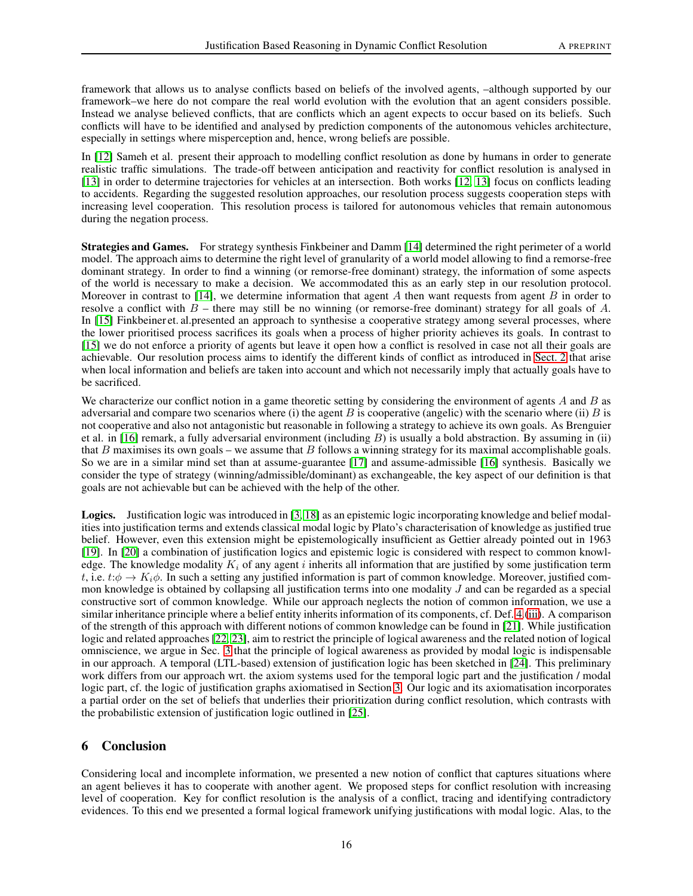framework that allows us to analyse conflicts based on beliefs of the involved agents, –although supported by our framework–we here do not compare the real world evolution with the evolution that an agent considers possible. Instead we analyse believed conflicts, that are conflicts which an agent expects to occur based on its beliefs. Such conflicts will have to be identified and analysed by prediction components of the autonomous vehicles architecture, especially in settings where misperception and, hence, wrong beliefs are possible.

In [\[12\]](#page-16-11) Sameh et al. present their approach to modelling conflict resolution as done by humans in order to generate realistic traffic simulations. The trade-off between anticipation and reactivity for conflict resolution is analysed in [\[13\]](#page-16-12) in order to determine trajectories for vehicles at an intersection. Both works [\[12,](#page-16-11) [13\]](#page-16-12) focus on conflicts leading to accidents. Regarding the suggested resolution approaches, our resolution process suggests cooperation steps with increasing level cooperation. This resolution process is tailored for autonomous vehicles that remain autonomous during the negation process.

Strategies and Games. For strategy synthesis Finkbeiner and Damm [\[14\]](#page-16-13) determined the right perimeter of a world model. The approach aims to determine the right level of granularity of a world model allowing to find a remorse-free dominant strategy. In order to find a winning (or remorse-free dominant) strategy, the information of some aspects of the world is necessary to make a decision. We accommodated this as an early step in our resolution protocol. Moreover in contrast to [\[14\]](#page-16-13), we determine information that agent  $A$  then want requests from agent  $B$  in order to resolve a conflict with  $B$  – there may still be no winning (or remorse-free dominant) strategy for all goals of  $A$ . In [\[15\]](#page-16-14) Finkbeiner et. al.presented an approach to synthesise a cooperative strategy among several processes, where the lower prioritised process sacrifices its goals when a process of higher priority achieves its goals. In contrast to [\[15\]](#page-16-14) we do not enforce a priority of agents but leave it open how a conflict is resolved in case not all their goals are achievable. Our resolution process aims to identify the different kinds of conflict as introduced in [Sect. 2](#page-1-0) that arise when local information and beliefs are taken into account and which not necessarily imply that actually goals have to be sacrificed.

We characterize our conflict notion in a game theoretic setting by considering the environment of agents  $A$  and  $B$  as adversarial and compare two scenarios where (i) the agent  $B$  is cooperative (angelic) with the scenario where (ii)  $B$  is not cooperative and also not antagonistic but reasonable in following a strategy to achieve its own goals. As Brenguier et al. in [\[16\]](#page-16-15) remark, a fully adversarial environment (including  $B$ ) is usually a bold abstraction. By assuming in (ii) that B maximises its own goals – we assume that B follows a winning strategy for its maximal accomplishable goals. So we are in a similar mind set than at assume-guarantee [\[17\]](#page-16-16) and assume-admissible [\[16\]](#page-16-15) synthesis. Basically we consider the type of strategy (winning/admissible/dominant) as exchangeable, the key aspect of our definition is that goals are not achievable but can be achieved with the help of the other.

Logics. Justification logic was introduced in [\[3,](#page-16-2) [18\]](#page-16-17) as an epistemic logic incorporating knowledge and belief modalities into justification terms and extends classical modal logic by Plato's characterisation of knowledge as justified true belief. However, even this extension might be epistemologically insufficient as Gettier already pointed out in 1963 [\[19\]](#page-16-18). In [\[20\]](#page-16-19) a combination of justification logics and epistemic logic is considered with respect to common knowledge. The knowledge modality  $K_i$  of any agent i inherits all information that are justified by some justification term t, i.e.  $t:\phi \to K_i\phi$ . In such a setting any justified information is part of common knowledge. Moreover, justified common knowledge is obtained by collapsing all justification terms into one modality J and can be regarded as a special constructive sort of common knowledge. While our approach neglects the notion of common information, we use a similar inheritance principle where a belief entity inherits information of its components, cf. Def. [4.](#page-9-1)[\(iii\)](#page-9-2). A comparison of the strength of this approach with different notions of common knowledge can be found in [\[21\]](#page-16-20). While justification logic and related approaches [\[22,](#page-16-21) [23\]](#page-16-22), aim to restrict the principle of logical awareness and the related notion of logical omniscience, we argue in Sec. [3](#page-7-0) that the principle of logical awareness as provided by modal logic is indispensable in our approach. A temporal (LTL-based) extension of justification logic has been sketched in [\[24\]](#page-16-23). This preliminary work differs from our approach wrt. the axiom systems used for the temporal logic part and the justification / modal logic part, cf. the logic of justification graphs axiomatised in Section [3.](#page-7-0) Our logic and its axiomatisation incorporates a partial order on the set of beliefs that underlies their prioritization during conflict resolution, which contrasts with the probabilistic extension of justification logic outlined in [\[25\]](#page-16-24).

# <span id="page-15-0"></span>6 Conclusion

Considering local and incomplete information, we presented a new notion of conflict that captures situations where an agent believes it has to cooperate with another agent. We proposed steps for conflict resolution with increasing level of cooperation. Key for conflict resolution is the analysis of a conflict, tracing and identifying contradictory evidences. To this end we presented a formal logical framework unifying justifications with modal logic. Alas, to the